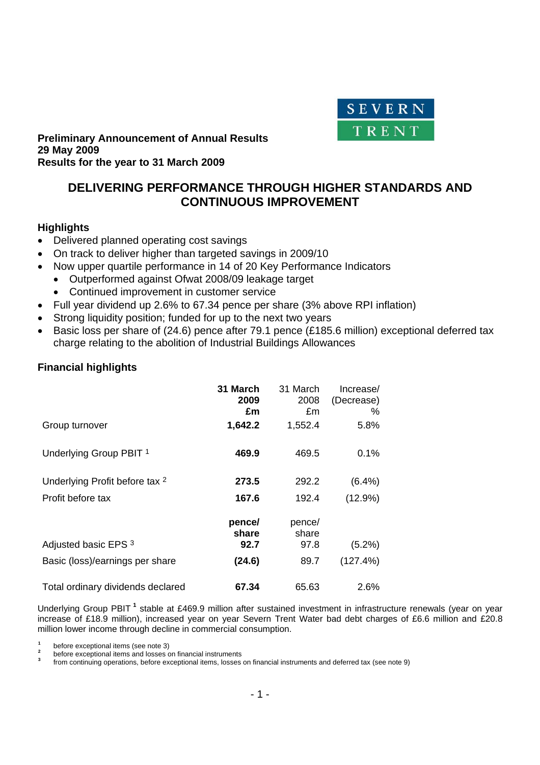

#### **Preliminary Announcement of Annual Results 29 May 2009 Results for the year to 31 March 2009**

# **DELIVERING PERFORMANCE THROUGH HIGHER STANDARDS AND CONTINUOUS IMPROVEMENT**

# **Highlights**

- Delivered planned operating cost savings
- On track to deliver higher than targeted savings in 2009/10
- Now upper quartile performance in 14 of 20 Key Performance Indicators
	- Outperformed against Ofwat 2008/09 leakage target
	- Continued improvement in customer service
- Full year dividend up 2.6% to 67.34 pence per share (3% above RPI inflation)
- Strong liquidity position; funded for up to the next two years
- Basic loss per share of (24.6) pence after 79.1 pence (£185.6 million) exceptional deferred tax charge relating to the abolition of Industrial Buildings Allowances

# **Financial highlights**

|                                           | 31 March<br>2009<br>£m  | 31 March<br>2008<br>£m  | Increase/<br>(Decrease)<br>% |
|-------------------------------------------|-------------------------|-------------------------|------------------------------|
| Group turnover                            | 1,642.2                 | 1,552.4                 | 5.8%                         |
| Underlying Group PBIT 1                   | 469.9                   | 469.5                   | 0.1%                         |
| Underlying Profit before tax <sup>2</sup> | 273.5                   | 292.2                   | $(6.4\%)$                    |
| Profit before tax                         | 167.6                   | 192.4                   | $(12.9\%)$                   |
| Adjusted basic EPS 3                      | pence/<br>share<br>92.7 | pence/<br>share<br>97.8 | $(5.2\%)$                    |
| Basic (loss)/earnings per share           | (24.6)                  | 89.7                    | (127.4%)                     |
| Total ordinary dividends declared         | 67.34                   | 65.63                   | 2.6%                         |

Underlying Group PBIT<sup>1</sup> stable at £469.9 million after sustained investment in infrastructure renewals (year on year increase of £18.9 million), increased year on year Severn Trent Water bad debt charges of £6.6 million and £20.8 million lower income through decline in commercial consumption.

**1**  $\frac{1}{2}$  before exceptional items (see note 3)

**<sup>2</sup>**before exceptional items and losses on financial instruments **<sup>3</sup>**

from continuing operations, before exceptional items, losses on financial instruments and deferred tax (see note 9)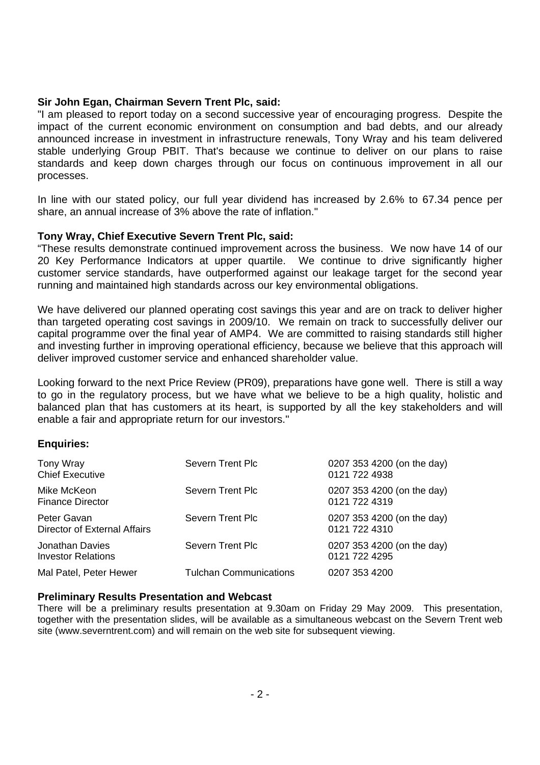### **Sir John Egan, Chairman Severn Trent Plc, said:**

"I am pleased to report today on a second successive year of encouraging progress. Despite the impact of the current economic environment on consumption and bad debts, and our already announced increase in investment in infrastructure renewals, Tony Wray and his team delivered stable underlying Group PBIT. That's because we continue to deliver on our plans to raise standards and keep down charges through our focus on continuous improvement in all our processes.

In line with our stated policy, our full year dividend has increased by 2.6% to 67.34 pence per share, an annual increase of 3% above the rate of inflation."

# **Tony Wray, Chief Executive Severn Trent Plc, said:**

"These results demonstrate continued improvement across the business. We now have 14 of our 20 Key Performance Indicators at upper quartile. We continue to drive significantly higher customer service standards, have outperformed against our leakage target for the second year running and maintained high standards across our key environmental obligations.

We have delivered our planned operating cost savings this year and are on track to deliver higher than targeted operating cost savings in 2009/10. We remain on track to successfully deliver our capital programme over the final year of AMP4. We are committed to raising standards still higher and investing further in improving operational efficiency, because we believe that this approach will deliver improved customer service and enhanced shareholder value.

Looking forward to the next Price Review (PR09), preparations have gone well. There is still a way to go in the regulatory process, but we have what we believe to be a high quality, holistic and balanced plan that has customers at its heart, is supported by all the key stakeholders and will enable a fair and appropriate return for our investors."

#### **Enquiries:**

| Tony Wray<br><b>Chief Executive</b>          | <b>Severn Trent Plc</b>       | 0207 353 4200 (on the day)<br>0121 722 4938 |
|----------------------------------------------|-------------------------------|---------------------------------------------|
| Mike McKeon<br><b>Finance Director</b>       | <b>Severn Trent Plc</b>       | 0207 353 4200 (on the day)<br>0121 722 4319 |
| Peter Gavan<br>Director of External Affairs  | <b>Severn Trent Plc</b>       | 0207 353 4200 (on the day)<br>0121 722 4310 |
| Jonathan Davies<br><b>Investor Relations</b> | Severn Trent Plc              | 0207 353 4200 (on the day)<br>0121 722 4295 |
| Mal Patel, Peter Hewer                       | <b>Tulchan Communications</b> | 0207 353 4200                               |

#### **Preliminary Results Presentation and Webcast**

There will be a preliminary results presentation at 9.30am on Friday 29 May 2009. This presentation, together with the presentation slides, will be available as a simultaneous webcast on the Severn Trent web site (www.severntrent.com) and will remain on the web site for subsequent viewing.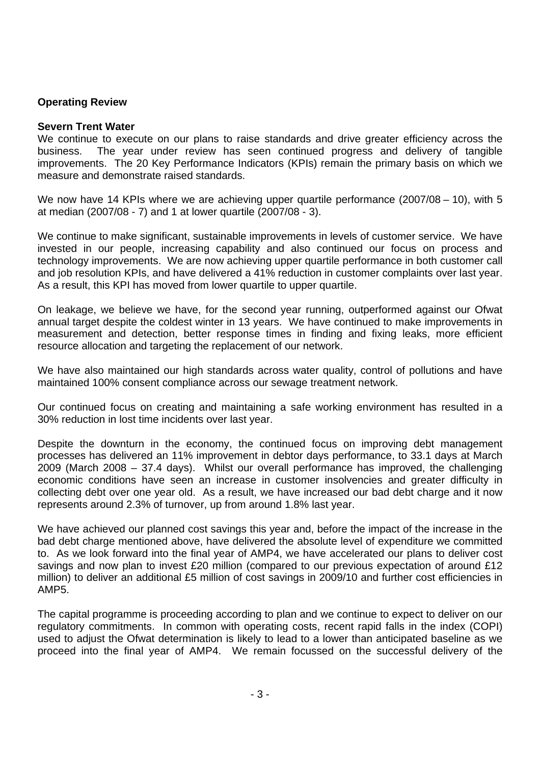# **Operating Review**

#### **Severn Trent Water**

We continue to execute on our plans to raise standards and drive greater efficiency across the business. The year under review has seen continued progress and delivery of tangible improvements. The 20 Key Performance Indicators (KPIs) remain the primary basis on which we measure and demonstrate raised standards.

We now have 14 KPIs where we are achieving upper quartile performance (2007/08 – 10), with 5 at median (2007/08 - 7) and 1 at lower quartile (2007/08 - 3).

We continue to make significant, sustainable improvements in levels of customer service. We have invested in our people, increasing capability and also continued our focus on process and technology improvements. We are now achieving upper quartile performance in both customer call and job resolution KPIs, and have delivered a 41% reduction in customer complaints over last year. As a result, this KPI has moved from lower quartile to upper quartile.

On leakage, we believe we have, for the second year running, outperformed against our Ofwat annual target despite the coldest winter in 13 years. We have continued to make improvements in measurement and detection, better response times in finding and fixing leaks, more efficient resource allocation and targeting the replacement of our network.

We have also maintained our high standards across water quality, control of pollutions and have maintained 100% consent compliance across our sewage treatment network.

Our continued focus on creating and maintaining a safe working environment has resulted in a 30% reduction in lost time incidents over last year.

Despite the downturn in the economy, the continued focus on improving debt management processes has delivered an 11% improvement in debtor days performance, to 33.1 days at March 2009 (March 2008 – 37.4 days). Whilst our overall performance has improved, the challenging economic conditions have seen an increase in customer insolvencies and greater difficulty in collecting debt over one year old. As a result, we have increased our bad debt charge and it now represents around 2.3% of turnover, up from around 1.8% last year.

We have achieved our planned cost savings this year and, before the impact of the increase in the bad debt charge mentioned above, have delivered the absolute level of expenditure we committed to. As we look forward into the final year of AMP4, we have accelerated our plans to deliver cost savings and now plan to invest £20 million (compared to our previous expectation of around £12 million) to deliver an additional £5 million of cost savings in 2009/10 and further cost efficiencies in AMP5.

The capital programme is proceeding according to plan and we continue to expect to deliver on our regulatory commitments. In common with operating costs, recent rapid falls in the index (COPI) used to adjust the Ofwat determination is likely to lead to a lower than anticipated baseline as we proceed into the final year of AMP4. We remain focussed on the successful delivery of the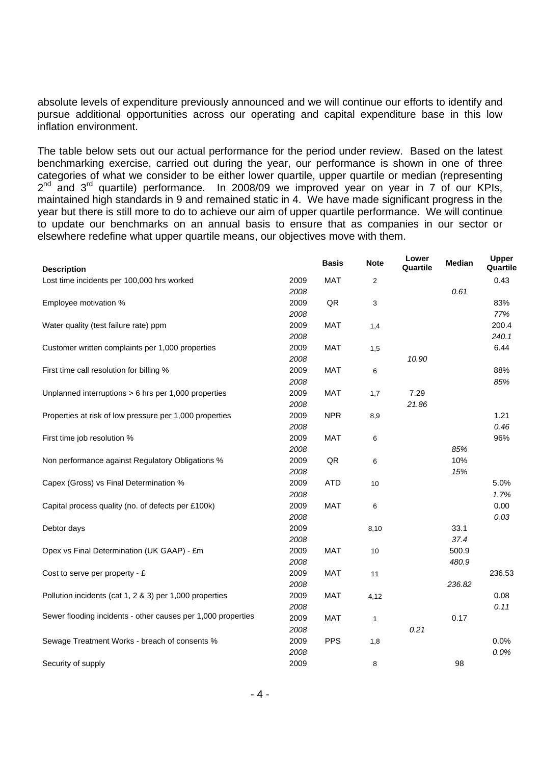absolute levels of expenditure previously announced and we will continue our efforts to identify and pursue additional opportunities across our operating and capital expenditure base in this low inflation environment.

The table below sets out our actual performance for the period under review. Based on the latest benchmarking exercise, carried out during the year, our performance is shown in one of three categories of what we consider to be either lower quartile, upper quartile or median (representing  $2<sup>nd</sup>$  and  $3<sup>rd</sup>$  quartile) performance. In 2008/09 we improved year on year in 7 of our KPIs, maintained high standards in 9 and remained static in 4. We have made significant progress in the year but there is still more to do to achieve our aim of upper quartile performance. We will continue to update our benchmarks on an annual basis to ensure that as companies in our sector or elsewhere redefine what upper quartile means, our objectives move with them.

| <b>Description</b>                                                   | <b>Basis</b> | <b>Note</b>    | Lower<br>Quartile | Median | Upper<br>Quartile |
|----------------------------------------------------------------------|--------------|----------------|-------------------|--------|-------------------|
| Lost time incidents per 100,000 hrs worked<br>2009                   | <b>MAT</b>   | $\overline{2}$ |                   |        | 0.43              |
| 2008                                                                 |              |                |                   | 0.61   |                   |
| 2009<br>Employee motivation %                                        | QR           | 3              |                   |        | 83%               |
| 2008                                                                 |              |                |                   |        | 77%               |
| 2009<br>Water quality (test failure rate) ppm                        | <b>MAT</b>   | 1,4            |                   |        | 200.4             |
| 2008                                                                 |              |                |                   |        | 240.1             |
| 2009<br>Customer written complaints per 1,000 properties             | <b>MAT</b>   | 1,5            |                   |        | 6.44              |
| 2008                                                                 |              |                | 10.90             |        |                   |
| 2009<br>First time call resolution for billing %                     | <b>MAT</b>   | 6              |                   |        | 88%               |
| 2008                                                                 |              |                |                   |        | 85%               |
| Unplanned interruptions > 6 hrs per 1,000 properties<br>2009         | <b>MAT</b>   | 1,7            | 7.29              |        |                   |
| 2008                                                                 |              |                | 21.86             |        |                   |
| Properties at risk of low pressure per 1,000 properties<br>2009      | <b>NPR</b>   | 8,9            |                   |        | 1.21              |
| 2008                                                                 |              |                |                   |        | 0.46              |
| 2009<br>First time job resolution %                                  | <b>MAT</b>   | 6              |                   |        | 96%               |
| 2008                                                                 |              |                |                   | 85%    |                   |
| 2009<br>Non performance against Regulatory Obligations %             | QR           | 6              |                   | 10%    |                   |
| 2008                                                                 |              |                |                   | 15%    |                   |
| 2009<br>Capex (Gross) vs Final Determination %                       | <b>ATD</b>   | 10             |                   |        | 5.0%              |
| 2008                                                                 |              |                |                   |        | 1.7%              |
| 2009<br>Capital process quality (no. of defects per £100k)           | <b>MAT</b>   | 6              |                   |        | 0.00              |
| 2008                                                                 |              |                |                   |        | 0.03              |
| 2009<br>Debtor days                                                  |              | 8,10           |                   | 33.1   |                   |
| 2008                                                                 |              |                |                   | 37.4   |                   |
| 2009<br>Opex vs Final Determination (UK GAAP) - £m                   | <b>MAT</b>   | 10             |                   | 500.9  |                   |
| 2008                                                                 |              |                |                   | 480.9  |                   |
| 2009<br>Cost to serve per property - $E$                             | <b>MAT</b>   | 11             |                   |        | 236.53            |
| 2008                                                                 |              |                |                   | 236.82 |                   |
| Pollution incidents (cat 1, 2 & 3) per 1,000 properties<br>2009      | <b>MAT</b>   | 4,12           |                   |        | 0.08              |
| 2008                                                                 |              |                |                   |        | 0.11              |
| Sewer flooding incidents - other causes per 1,000 properties<br>2009 | <b>MAT</b>   | 1              |                   | 0.17   |                   |
| 2008                                                                 |              |                | 0.21              |        |                   |
| 2009<br>Sewage Treatment Works - breach of consents %                | <b>PPS</b>   | 1,8            |                   |        | 0.0%              |
| 2008                                                                 |              |                |                   |        | 0.0%              |
| 2009<br>Security of supply                                           |              | 8              |                   | 98     |                   |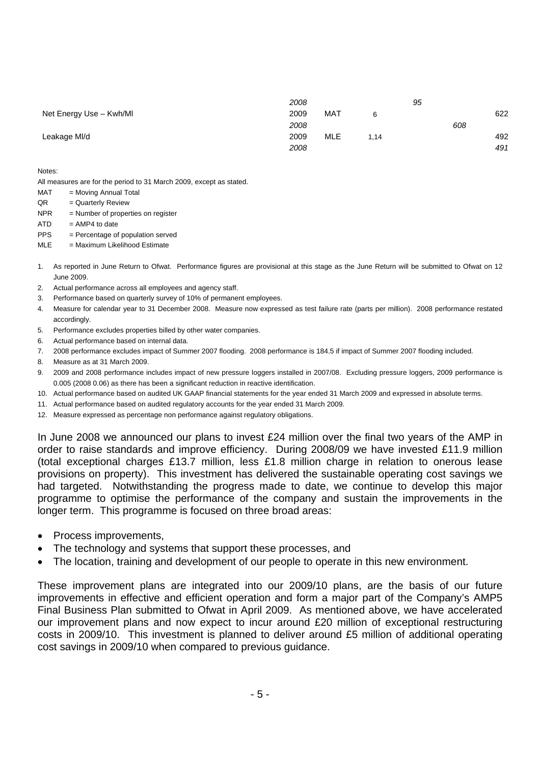|                         | 2008 |            |      | 95 |     |
|-------------------------|------|------------|------|----|-----|
| Net Energy Use - Kwh/MI | 2009 | <b>MAT</b> | 6    |    | 622 |
|                         | 2008 |            |      |    | 608 |
| Leakage MI/d            | 2009 | MLE        | 1.14 |    | 492 |
|                         | 2008 |            |      |    | 491 |

Notes:

All measures are for the period to 31 March 2009, except as stated.

- MAT = Moving Annual Total
- QR = Quarterly Review
- NPR = Number of properties on register
- $ATD = AMP4$  to date
- PPS = Percentage of population served

 $MLE = Maximum Likelihood Estimate$ 

- 1. As reported in June Return to Ofwat. Performance figures are provisional at this stage as the June Return will be submitted to Ofwat on 12 June 2009.
- 2. Actual performance across all employees and agency staff.
- 3. Performance based on quarterly survey of 10% of permanent employees.
- 4. Measure for calendar year to 31 December 2008. Measure now expressed as test failure rate (parts per million). 2008 performance restated accordingly.
- 5. Performance excludes properties billed by other water companies.
- 6. Actual performance based on internal data.
- 7. 2008 performance excludes impact of Summer 2007 flooding. 2008 performance is 184.5 if impact of Summer 2007 flooding included.
- 8. Measure as at 31 March 2009.
- 9. 2009 and 2008 performance includes impact of new pressure loggers installed in 2007/08. Excluding pressure loggers, 2009 performance is 0.005 (2008 0.06) as there has been a significant reduction in reactive identification.
- 10. Actual performance based on audited UK GAAP financial statements for the year ended 31 March 2009 and expressed in absolute terms.
- 11. Actual performance based on audited regulatory accounts for the year ended 31 March 2009.
- 12. Measure expressed as percentage non performance against regulatory obligations.

In June 2008 we announced our plans to invest £24 million over the final two years of the AMP in order to raise standards and improve efficiency. During 2008/09 we have invested £11.9 million (total exceptional charges £13.7 million, less £1.8 million charge in relation to onerous lease provisions on property). This investment has delivered the sustainable operating cost savings we had targeted. Notwithstanding the progress made to date, we continue to develop this major programme to optimise the performance of the company and sustain the improvements in the longer term. This programme is focused on three broad areas:

- Process improvements,
- The technology and systems that support these processes, and
- The location, training and development of our people to operate in this new environment.

These improvement plans are integrated into our 2009/10 plans, are the basis of our future improvements in effective and efficient operation and form a major part of the Company's AMP5 Final Business Plan submitted to Ofwat in April 2009. As mentioned above, we have accelerated our improvement plans and now expect to incur around £20 million of exceptional restructuring costs in 2009/10. This investment is planned to deliver around £5 million of additional operating cost savings in 2009/10 when compared to previous guidance.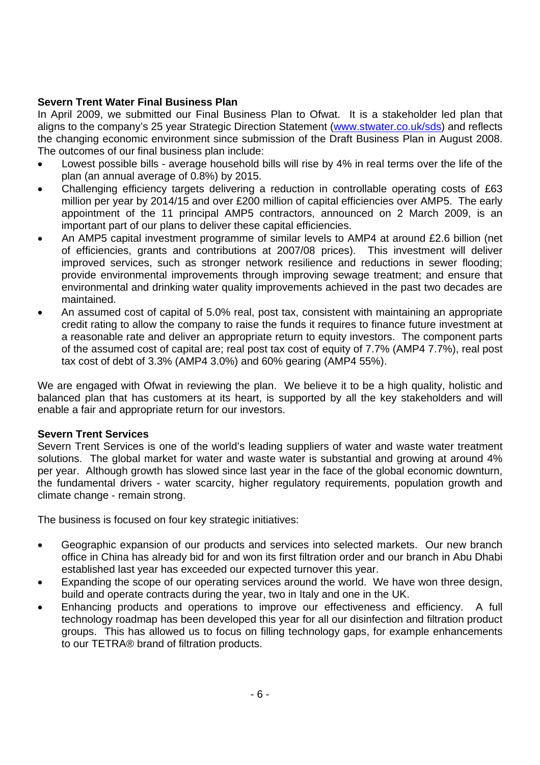# **Severn Trent Water Final Business Plan**

In April 2009, we submitted our Final Business Plan to Ofwat. It is a stakeholder led plan that aligns to the company's 25 year Strategic Direction Statement (www.stwater.co.uk/sds) and reflects the changing economic environment since submission of the Draft Business Plan in August 2008. The outcomes of our final business plan include:

- Lowest possible bills average household bills will rise by 4% in real terms over the life of the plan (an annual average of 0.8%) by 2015.
- Challenging efficiency targets delivering a reduction in controllable operating costs of £63 million per year by 2014/15 and over £200 million of capital efficiencies over AMP5. The early appointment of the 11 principal AMP5 contractors, announced on 2 March 2009, is an important part of our plans to deliver these capital efficiencies.
- An AMP5 capital investment programme of similar levels to AMP4 at around £2.6 billion (net of efficiencies, grants and contributions at 2007/08 prices). This investment will deliver improved services, such as stronger network resilience and reductions in sewer flooding; provide environmental improvements through improving sewage treatment; and ensure that environmental and drinking water quality improvements achieved in the past two decades are maintained.
- An assumed cost of capital of 5.0% real, post tax, consistent with maintaining an appropriate credit rating to allow the company to raise the funds it requires to finance future investment at a reasonable rate and deliver an appropriate return to equity investors. The component parts of the assumed cost of capital are; real post tax cost of equity of 7.7% (AMP4 7.7%), real post tax cost of debt of 3.3% (AMP4 3.0%) and 60% gearing (AMP4 55%).

We are engaged with Ofwat in reviewing the plan. We believe it to be a high quality, holistic and balanced plan that has customers at its heart, is supported by all the key stakeholders and will enable a fair and appropriate return for our investors.

# **Severn Trent Services**

Severn Trent Services is one of the world's leading suppliers of water and waste water treatment solutions. The global market for water and waste water is substantial and growing at around 4% per year. Although growth has slowed since last year in the face of the global economic downturn, the fundamental drivers - water scarcity, higher regulatory requirements, population growth and climate change - remain strong.

The business is focused on four key strategic initiatives:

- Geographic expansion of our products and services into selected markets. Our new branch office in China has already bid for and won its first filtration order and our branch in Abu Dhabi established last year has exceeded our expected turnover this year.
- Expanding the scope of our operating services around the world. We have won three design, build and operate contracts during the year, two in Italy and one in the UK.
- Enhancing products and operations to improve our effectiveness and efficiency. A full technology roadmap has been developed this year for all our disinfection and filtration product groups. This has allowed us to focus on filling technology gaps, for example enhancements to our TETRA® brand of filtration products.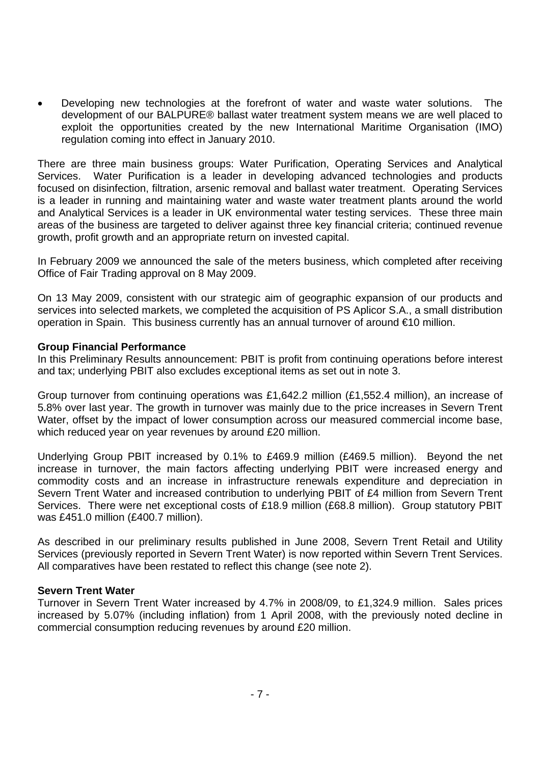• Developing new technologies at the forefront of water and waste water solutions. The development of our BALPURE® ballast water treatment system means we are well placed to exploit the opportunities created by the new International Maritime Organisation (IMO) regulation coming into effect in January 2010.

There are three main business groups: Water Purification, Operating Services and Analytical Services. Water Purification is a leader in developing advanced technologies and products focused on disinfection, filtration, arsenic removal and ballast water treatment. Operating Services is a leader in running and maintaining water and waste water treatment plants around the world and Analytical Services is a leader in UK environmental water testing services. These three main areas of the business are targeted to deliver against three key financial criteria; continued revenue growth, profit growth and an appropriate return on invested capital.

In February 2009 we announced the sale of the meters business, which completed after receiving Office of Fair Trading approval on 8 May 2009.

On 13 May 2009, consistent with our strategic aim of geographic expansion of our products and services into selected markets, we completed the acquisition of PS Aplicor S.A., a small distribution operation in Spain. This business currently has an annual turnover of around €10 million.

# **Group Financial Performance**

In this Preliminary Results announcement: PBIT is profit from continuing operations before interest and tax; underlying PBIT also excludes exceptional items as set out in note 3.

Group turnover from continuing operations was £1,642.2 million (£1,552.4 million), an increase of 5.8% over last year. The growth in turnover was mainly due to the price increases in Severn Trent Water, offset by the impact of lower consumption across our measured commercial income base, which reduced year on year revenues by around £20 million.

Underlying Group PBIT increased by 0.1% to £469.9 million (£469.5 million). Beyond the net increase in turnover, the main factors affecting underlying PBIT were increased energy and commodity costs and an increase in infrastructure renewals expenditure and depreciation in Severn Trent Water and increased contribution to underlying PBIT of £4 million from Severn Trent Services. There were net exceptional costs of £18.9 million (£68.8 million). Group statutory PBIT was £451.0 million (£400.7 million).

As described in our preliminary results published in June 2008, Severn Trent Retail and Utility Services (previously reported in Severn Trent Water) is now reported within Severn Trent Services. All comparatives have been restated to reflect this change (see note 2).

#### **Severn Trent Water**

Turnover in Severn Trent Water increased by 4.7% in 2008/09, to £1,324.9 million. Sales prices increased by 5.07% (including inflation) from 1 April 2008, with the previously noted decline in commercial consumption reducing revenues by around £20 million.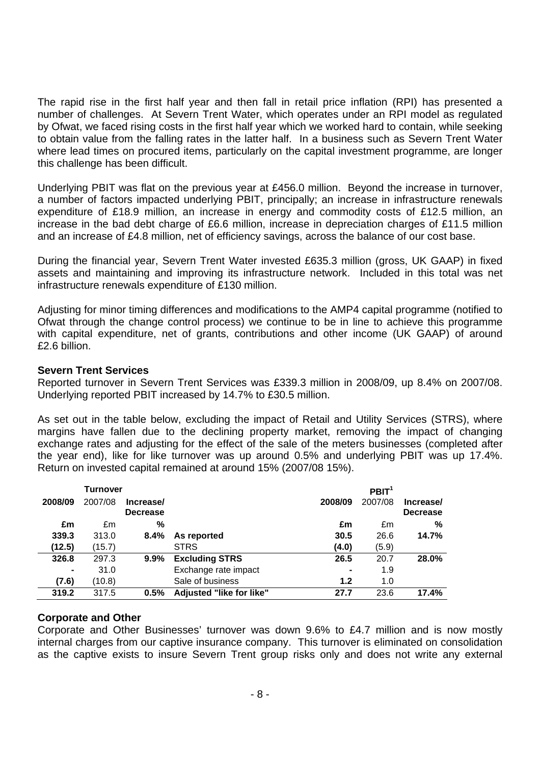The rapid rise in the first half year and then fall in retail price inflation (RPI) has presented a number of challenges. At Severn Trent Water, which operates under an RPI model as regulated by Ofwat, we faced rising costs in the first half year which we worked hard to contain, while seeking to obtain value from the falling rates in the latter half. In a business such as Severn Trent Water where lead times on procured items, particularly on the capital investment programme, are longer this challenge has been difficult.

Underlying PBIT was flat on the previous year at £456.0 million. Beyond the increase in turnover, a number of factors impacted underlying PBIT, principally; an increase in infrastructure renewals expenditure of £18.9 million, an increase in energy and commodity costs of £12.5 million, an increase in the bad debt charge of £6.6 million, increase in depreciation charges of £11.5 million and an increase of £4.8 million, net of efficiency savings, across the balance of our cost base.

During the financial year, Severn Trent Water invested £635.3 million (gross, UK GAAP) in fixed assets and maintaining and improving its infrastructure network. Included in this total was net infrastructure renewals expenditure of £130 million.

Adjusting for minor timing differences and modifications to the AMP4 capital programme (notified to Ofwat through the change control process) we continue to be in line to achieve this programme with capital expenditure, net of grants, contributions and other income (UK GAAP) of around £2.6 billion.

# **Severn Trent Services**

Reported turnover in Severn Trent Services was £339.3 million in 2008/09, up 8.4% on 2007/08. Underlying reported PBIT increased by 14.7% to £30.5 million.

As set out in the table below, excluding the impact of Retail and Utility Services (STRS), where margins have fallen due to the declining property market, removing the impact of changing exchange rates and adjusting for the effect of the sale of the meters businesses (completed after the year end), like for like turnover was up around 0.5% and underlying PBIT was up 17.4%. Return on invested capital remained at around 15% (2007/08 15%).

|                | Turnover |                              |                          |         | PBIT <sup>1</sup> |                              |
|----------------|----------|------------------------------|--------------------------|---------|-------------------|------------------------------|
| 2008/09        | 2007/08  | Increase/<br><b>Decrease</b> |                          | 2008/09 | 2007/08           | Increase/<br><b>Decrease</b> |
| £m             | £m       | %                            |                          | £m      | £m                | %                            |
| 339.3          | 313.0    | 8.4%                         | As reported              | 30.5    | 26.6              | 14.7%                        |
| (12.5)         | (15.7)   |                              | <b>STRS</b>              | (4.0)   | (5.9)             |                              |
| 326.8          | 297.3    | $9.9\%$                      | <b>Excluding STRS</b>    | 26.5    | 20.7              | 28.0%                        |
| $\blacksquare$ | 31.0     |                              | Exchange rate impact     |         | 1.9               |                              |
| (7.6)          | (10.8)   |                              | Sale of business         | 1.2     | 1.0               |                              |
| 319.2          | 317.5    | 0.5%                         | Adjusted "like for like" | 27.7    | 23.6              | 17.4%                        |

# **Corporate and Other**

Corporate and Other Businesses' turnover was down 9.6% to £4.7 million and is now mostly internal charges from our captive insurance company. This turnover is eliminated on consolidation as the captive exists to insure Severn Trent group risks only and does not write any external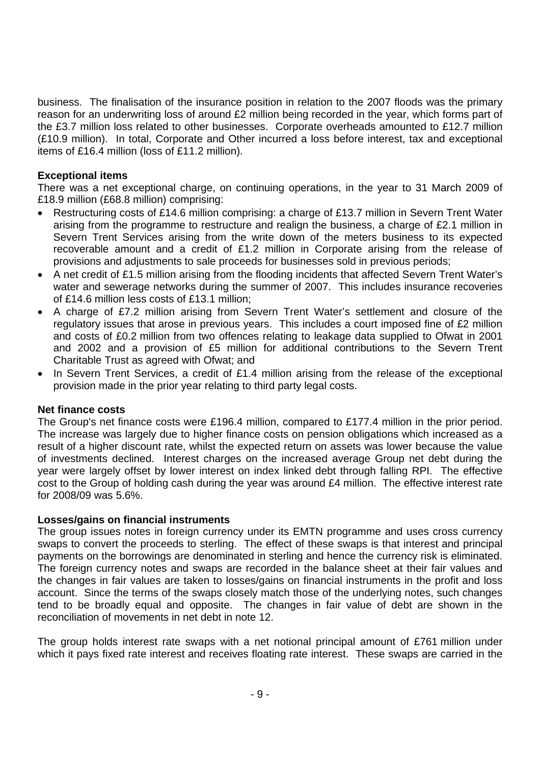business. The finalisation of the insurance position in relation to the 2007 floods was the primary reason for an underwriting loss of around £2 million being recorded in the year, which forms part of the £3.7 million loss related to other businesses. Corporate overheads amounted to £12.7 million (£10.9 million). In total, Corporate and Other incurred a loss before interest, tax and exceptional items of £16.4 million (loss of £11.2 million).

# **Exceptional items**

There was a net exceptional charge, on continuing operations, in the year to 31 March 2009 of £18.9 million (£68.8 million) comprising:

- Restructuring costs of £14.6 million comprising: a charge of £13.7 million in Severn Trent Water arising from the programme to restructure and realign the business, a charge of £2.1 million in Severn Trent Services arising from the write down of the meters business to its expected recoverable amount and a credit of £1.2 million in Corporate arising from the release of provisions and adjustments to sale proceeds for businesses sold in previous periods;
- A net credit of £1.5 million arising from the flooding incidents that affected Severn Trent Water's water and sewerage networks during the summer of 2007. This includes insurance recoveries of £14.6 million less costs of £13.1 million;
- A charge of £7.2 million arising from Severn Trent Water's settlement and closure of the regulatory issues that arose in previous years. This includes a court imposed fine of £2 million and costs of £0.2 million from two offences relating to leakage data supplied to Ofwat in 2001 and 2002 and a provision of £5 million for additional contributions to the Severn Trent Charitable Trust as agreed with Ofwat; and
- In Severn Trent Services, a credit of £1.4 million arising from the release of the exceptional provision made in the prior year relating to third party legal costs.

# **Net finance costs**

The Group's net finance costs were £196.4 million, compared to £177.4 million in the prior period. The increase was largely due to higher finance costs on pension obligations which increased as a result of a higher discount rate, whilst the expected return on assets was lower because the value of investments declined. Interest charges on the increased average Group net debt during the year were largely offset by lower interest on index linked debt through falling RPI. The effective cost to the Group of holding cash during the year was around £4 million. The effective interest rate for 2008/09 was 5.6%.

#### **Losses/gains on financial instruments**

The group issues notes in foreign currency under its EMTN programme and uses cross currency swaps to convert the proceeds to sterling. The effect of these swaps is that interest and principal payments on the borrowings are denominated in sterling and hence the currency risk is eliminated. The foreign currency notes and swaps are recorded in the balance sheet at their fair values and the changes in fair values are taken to losses/gains on financial instruments in the profit and loss account. Since the terms of the swaps closely match those of the underlying notes, such changes tend to be broadly equal and opposite. The changes in fair value of debt are shown in the reconciliation of movements in net debt in note 12.

The group holds interest rate swaps with a net notional principal amount of £761 million under which it pays fixed rate interest and receives floating rate interest. These swaps are carried in the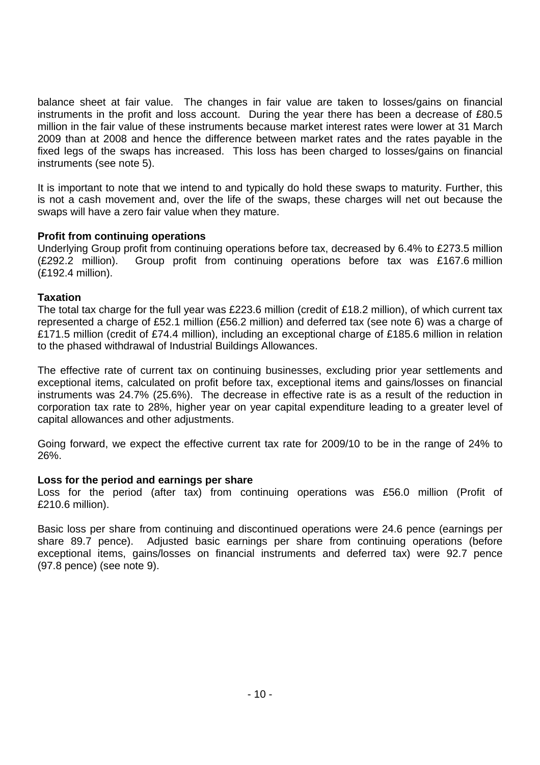balance sheet at fair value. The changes in fair value are taken to losses/gains on financial instruments in the profit and loss account. During the year there has been a decrease of £80.5 million in the fair value of these instruments because market interest rates were lower at 31 March 2009 than at 2008 and hence the difference between market rates and the rates payable in the fixed legs of the swaps has increased. This loss has been charged to losses/gains on financial instruments (see note 5).

It is important to note that we intend to and typically do hold these swaps to maturity. Further, this is not a cash movement and, over the life of the swaps, these charges will net out because the swaps will have a zero fair value when they mature.

# **Profit from continuing operations**

Underlying Group profit from continuing operations before tax, decreased by 6.4% to £273.5 million (£292.2 million). Group profit from continuing operations before tax was £167.6 million (£192.4 million).

# **Taxation**

The total tax charge for the full year was £223.6 million (credit of £18.2 million), of which current tax represented a charge of £52.1 million (£56.2 million) and deferred tax (see note 6) was a charge of £171.5 million (credit of £74.4 million), including an exceptional charge of £185.6 million in relation to the phased withdrawal of Industrial Buildings Allowances.

The effective rate of current tax on continuing businesses, excluding prior year settlements and exceptional items, calculated on profit before tax, exceptional items and gains/losses on financial instruments was 24.7% (25.6%). The decrease in effective rate is as a result of the reduction in corporation tax rate to 28%, higher year on year capital expenditure leading to a greater level of capital allowances and other adjustments.

Going forward, we expect the effective current tax rate for 2009/10 to be in the range of 24% to 26%.

#### **Loss for the period and earnings per share**

Loss for the period (after tax) from continuing operations was £56.0 million (Profit of £210.6 million).

Basic loss per share from continuing and discontinued operations were 24.6 pence (earnings per share 89.7 pence). Adjusted basic earnings per share from continuing operations (before exceptional items, gains/losses on financial instruments and deferred tax) were 92.7 pence (97.8 pence) (see note 9).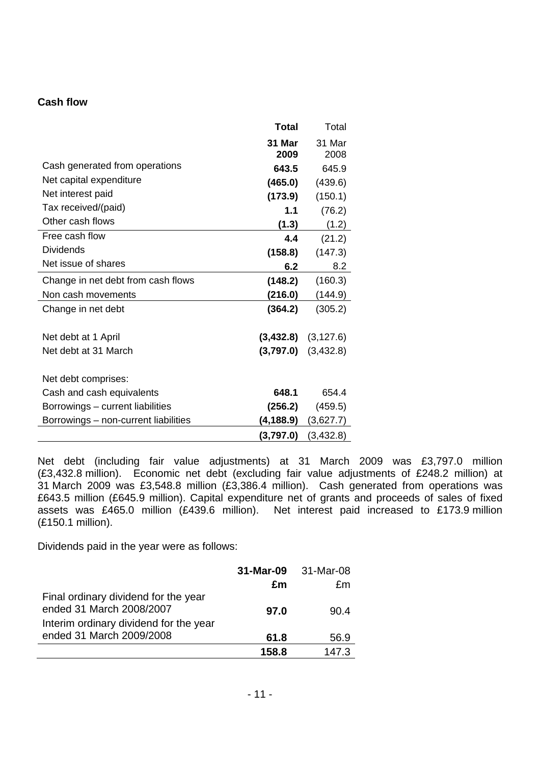# **Cash flow**

|                                      | <b>Total</b> | Total                   |
|--------------------------------------|--------------|-------------------------|
|                                      | 31 Mar       | 31 Mar                  |
|                                      | 2009         | 2008                    |
| Cash generated from operations       | 643.5        | 645.9                   |
| Net capital expenditure              | (465.0)      | (439.6)                 |
| Net interest paid                    | (173.9)      | (150.1)                 |
| Tax received/(paid)                  | 1.1          | (76.2)                  |
| Other cash flows                     | (1.3)        | (1.2)                   |
| Free cash flow                       | 4.4          | (21.2)                  |
| <b>Dividends</b>                     | (158.8)      | (147.3)                 |
| Net issue of shares                  | 6.2          | 8.2                     |
| Change in net debt from cash flows   | (148.2)      | (160.3)                 |
| Non cash movements                   | (216.0)      | (144.9)                 |
| Change in net debt                   | (364.2)      | (305.2)                 |
|                                      |              |                         |
| Net debt at 1 April                  |              | $(3,432.8)$ $(3,127.6)$ |
| Net debt at 31 March                 |              | $(3,797.0)$ $(3,432.8)$ |
|                                      |              |                         |
| Net debt comprises:                  |              |                         |
| Cash and cash equivalents            | 648.1        | 654.4                   |
| Borrowings - current liabilities     | (256.2)      | (459.5)                 |
| Borrowings - non-current liabilities | (4, 188.9)   | (3,627.7)               |
|                                      | (3,797.0)    | (3,432.8)               |

Net debt (including fair value adjustments) at 31 March 2009 was £3,797.0 million (£3,432.8 million). Economic net debt (excluding fair value adjustments of £248.2 million) at 31 March 2009 was £3,548.8 million (£3,386.4 million). Cash generated from operations was £643.5 million (£645.9 million). Capital expenditure net of grants and proceeds of sales of fixed assets was £465.0 million (£439.6 million). Net interest paid increased to £173.9 million (£150.1 million).

Dividends paid in the year were as follows:

|                                                                                                            | 31-Mar-09 | 31-Mar-08 |
|------------------------------------------------------------------------------------------------------------|-----------|-----------|
|                                                                                                            | £m        | £m        |
| Final ordinary dividend for the year<br>ended 31 March 2008/2007<br>Interim ordinary dividend for the year | 97.0      | 90.4      |
| ended 31 March 2009/2008                                                                                   | 61.8      | 56.9      |
|                                                                                                            | 158.8     | 147.3     |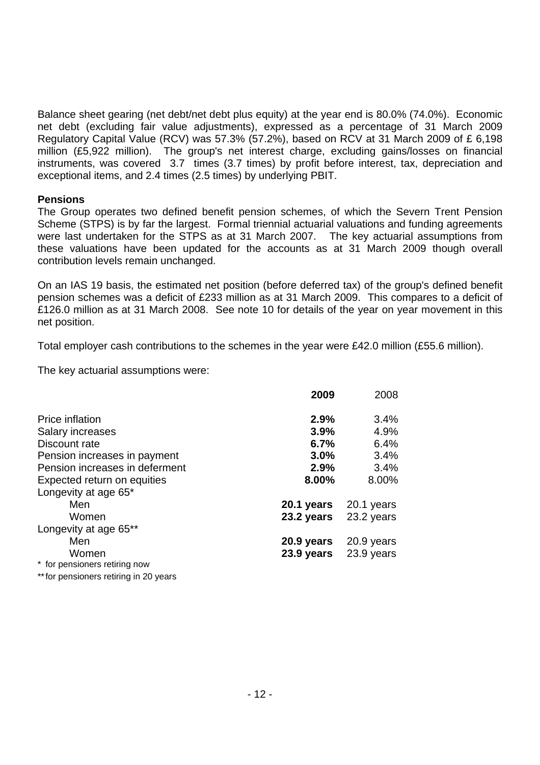Balance sheet gearing (net debt/net debt plus equity) at the year end is 80.0% (74.0%). Economic net debt (excluding fair value adjustments), expressed as a percentage of 31 March 2009 Regulatory Capital Value (RCV) was 57.3% (57.2%), based on RCV at 31 March 2009 of £ 6,198 million (£5,922 million). The group's net interest charge, excluding gains/losses on financial instruments, was covered 3.7 times (3.7 times) by profit before interest, tax, depreciation and exceptional items, and 2.4 times (2.5 times) by underlying PBIT.

#### **Pensions**

The Group operates two defined benefit pension schemes, of which the Severn Trent Pension Scheme (STPS) is by far the largest. Formal triennial actuarial valuations and funding agreements were last undertaken for the STPS as at 31 March 2007. The key actuarial assumptions from these valuations have been updated for the accounts as at 31 March 2009 though overall contribution levels remain unchanged.

On an IAS 19 basis, the estimated net position (before deferred tax) of the group's defined benefit pension schemes was a deficit of £233 million as at 31 March 2009. This compares to a deficit of £126.0 million as at 31 March 2008. See note 10 for details of the year on year movement in this net position.

Total employer cash contributions to the schemes in the year were £42.0 million (£55.6 million).

The key actuarial assumptions were:

|                                        | 2009       | 2008       |
|----------------------------------------|------------|------------|
| Price inflation                        | 2.9%       | 3.4%       |
| <b>Salary increases</b>                | 3.9%       | 4.9%       |
| Discount rate                          | 6.7%       | 6.4%       |
| Pension increases in payment           | 3.0%       | 3.4%       |
| Pension increases in deferment         | 2.9%       | 3.4%       |
| Expected return on equities            | 8.00%      | 8.00%      |
| Longevity at age 65*                   |            |            |
| Men                                    | 20.1 years | 20.1 years |
| Women                                  | 23.2 years | 23.2 years |
| Longevity at age 65**                  |            |            |
| Men                                    | 20.9 years | 20.9 years |
| Women                                  | 23.9 years | 23.9 years |
| * for pensioners retiring now          |            |            |
| ** for pensioners retiring in 20 years |            |            |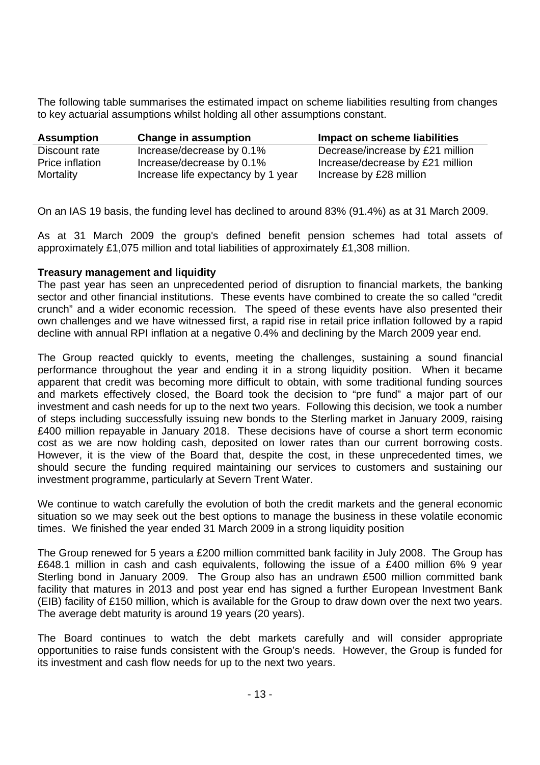The following table summarises the estimated impact on scheme liabilities resulting from changes to key actuarial assumptions whilst holding all other assumptions constant.

| <b>Assumption</b> | <b>Change in assumption</b>        | Impact on scheme liabilities     |
|-------------------|------------------------------------|----------------------------------|
| Discount rate     | Increase/decrease by 0.1%          | Decrease/increase by £21 million |
| Price inflation   | Increase/decrease by 0.1%          | Increase/decrease by £21 million |
| Mortality         | Increase life expectancy by 1 year | Increase by £28 million          |

On an IAS 19 basis, the funding level has declined to around 83% (91.4%) as at 31 March 2009.

As at 31 March 2009 the group's defined benefit pension schemes had total assets of approximately £1,075 million and total liabilities of approximately £1,308 million.

# **Treasury management and liquidity**

The past year has seen an unprecedented period of disruption to financial markets, the banking sector and other financial institutions. These events have combined to create the so called "credit crunch" and a wider economic recession. The speed of these events have also presented their own challenges and we have witnessed first, a rapid rise in retail price inflation followed by a rapid decline with annual RPI inflation at a negative 0.4% and declining by the March 2009 year end.

The Group reacted quickly to events, meeting the challenges, sustaining a sound financial performance throughout the year and ending it in a strong liquidity position. When it became apparent that credit was becoming more difficult to obtain, with some traditional funding sources and markets effectively closed, the Board took the decision to "pre fund" a major part of our investment and cash needs for up to the next two years. Following this decision, we took a number of steps including successfully issuing new bonds to the Sterling market in January 2009, raising £400 million repayable in January 2018. These decisions have of course a short term economic cost as we are now holding cash, deposited on lower rates than our current borrowing costs. However, it is the view of the Board that, despite the cost, in these unprecedented times, we should secure the funding required maintaining our services to customers and sustaining our investment programme, particularly at Severn Trent Water.

We continue to watch carefully the evolution of both the credit markets and the general economic situation so we may seek out the best options to manage the business in these volatile economic times. We finished the year ended 31 March 2009 in a strong liquidity position

The Group renewed for 5 years a £200 million committed bank facility in July 2008. The Group has £648.1 million in cash and cash equivalents, following the issue of a £400 million 6% 9 year Sterling bond in January 2009. The Group also has an undrawn £500 million committed bank facility that matures in 2013 and post year end has signed a further European Investment Bank (EIB) facility of £150 million, which is available for the Group to draw down over the next two years. The average debt maturity is around 19 years (20 years).

The Board continues to watch the debt markets carefully and will consider appropriate opportunities to raise funds consistent with the Group's needs. However, the Group is funded for its investment and cash flow needs for up to the next two years.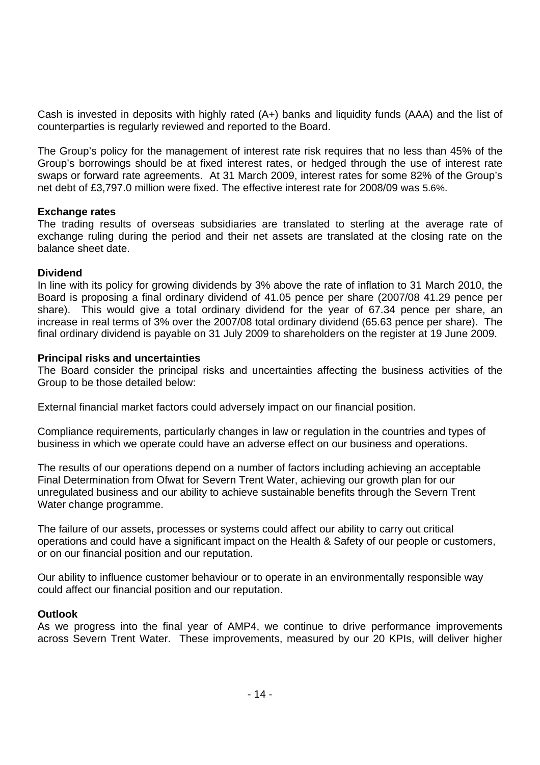Cash is invested in deposits with highly rated (A+) banks and liquidity funds (AAA) and the list of counterparties is regularly reviewed and reported to the Board.

The Group's policy for the management of interest rate risk requires that no less than 45% of the Group's borrowings should be at fixed interest rates, or hedged through the use of interest rate swaps or forward rate agreements. At 31 March 2009, interest rates for some 82% of the Group's net debt of £3,797.0 million were fixed. The effective interest rate for 2008/09 was 5.6%.

# **Exchange rates**

The trading results of overseas subsidiaries are translated to sterling at the average rate of exchange ruling during the period and their net assets are translated at the closing rate on the balance sheet date.

# **Dividend**

In line with its policy for growing dividends by 3% above the rate of inflation to 31 March 2010, the Board is proposing a final ordinary dividend of 41.05 pence per share (2007/08 41.29 pence per share). This would give a total ordinary dividend for the year of 67.34 pence per share, an increase in real terms of 3% over the 2007/08 total ordinary dividend (65.63 pence per share). The final ordinary dividend is payable on 31 July 2009 to shareholders on the register at 19 June 2009.

# **Principal risks and uncertainties**

The Board consider the principal risks and uncertainties affecting the business activities of the Group to be those detailed below:

External financial market factors could adversely impact on our financial position.

Compliance requirements, particularly changes in law or regulation in the countries and types of business in which we operate could have an adverse effect on our business and operations.

The results of our operations depend on a number of factors including achieving an acceptable Final Determination from Ofwat for Severn Trent Water, achieving our growth plan for our unregulated business and our ability to achieve sustainable benefits through the Severn Trent Water change programme.

The failure of our assets, processes or systems could affect our ability to carry out critical operations and could have a significant impact on the Health & Safety of our people or customers, or on our financial position and our reputation.

Our ability to influence customer behaviour or to operate in an environmentally responsible way could affect our financial position and our reputation.

#### **Outlook**

As we progress into the final year of AMP4, we continue to drive performance improvements across Severn Trent Water. These improvements, measured by our 20 KPIs, will deliver higher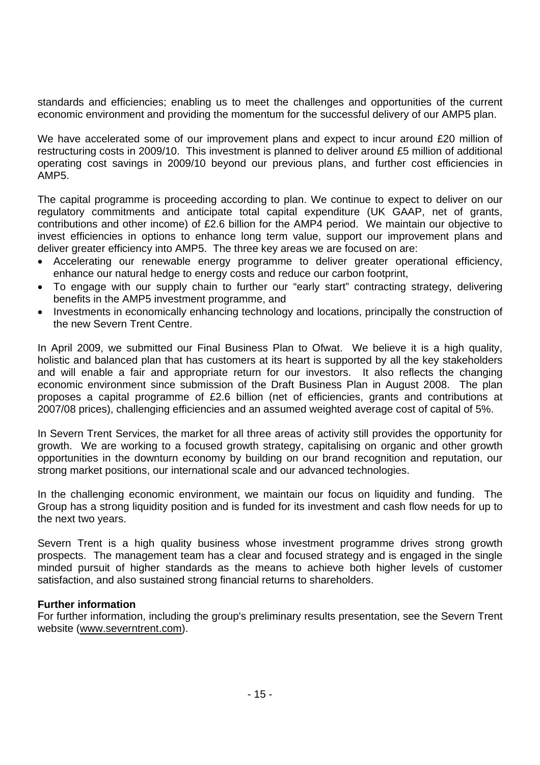standards and efficiencies; enabling us to meet the challenges and opportunities of the current economic environment and providing the momentum for the successful delivery of our AMP5 plan.

We have accelerated some of our improvement plans and expect to incur around £20 million of restructuring costs in 2009/10. This investment is planned to deliver around £5 million of additional operating cost savings in 2009/10 beyond our previous plans, and further cost efficiencies in AMP5.

The capital programme is proceeding according to plan. We continue to expect to deliver on our regulatory commitments and anticipate total capital expenditure (UK GAAP, net of grants, contributions and other income) of £2.6 billion for the AMP4 period. We maintain our objective to invest efficiencies in options to enhance long term value, support our improvement plans and deliver greater efficiency into AMP5. The three key areas we are focused on are:

- Accelerating our renewable energy programme to deliver greater operational efficiency, enhance our natural hedge to energy costs and reduce our carbon footprint,
- To engage with our supply chain to further our "early start" contracting strategy, delivering benefits in the AMP5 investment programme, and
- Investments in economically enhancing technology and locations, principally the construction of the new Severn Trent Centre.

In April 2009, we submitted our Final Business Plan to Ofwat. We believe it is a high quality, holistic and balanced plan that has customers at its heart is supported by all the key stakeholders and will enable a fair and appropriate return for our investors. It also reflects the changing economic environment since submission of the Draft Business Plan in August 2008. The plan proposes a capital programme of £2.6 billion (net of efficiencies, grants and contributions at 2007/08 prices), challenging efficiencies and an assumed weighted average cost of capital of 5%.

In Severn Trent Services, the market for all three areas of activity still provides the opportunity for growth. We are working to a focused growth strategy, capitalising on organic and other growth opportunities in the downturn economy by building on our brand recognition and reputation, our strong market positions, our international scale and our advanced technologies.

In the challenging economic environment, we maintain our focus on liquidity and funding. The Group has a strong liquidity position and is funded for its investment and cash flow needs for up to the next two years.

Severn Trent is a high quality business whose investment programme drives strong growth prospects. The management team has a clear and focused strategy and is engaged in the single minded pursuit of higher standards as the means to achieve both higher levels of customer satisfaction, and also sustained strong financial returns to shareholders.

# **Further information**

For further information, including the group's preliminary results presentation, see the Severn Trent website (www.severntrent.com).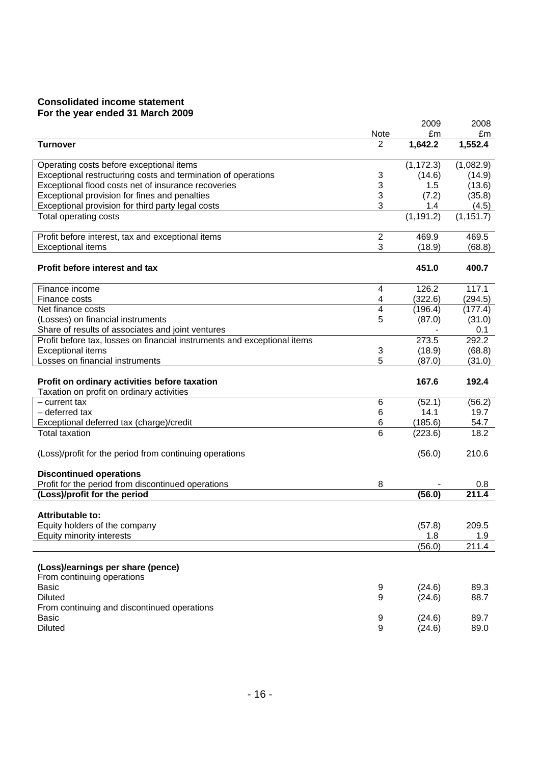# **Consolidated income statement For the year ended 31 March 2009**

|                                                                                            |                         | 2009       | 2008       |
|--------------------------------------------------------------------------------------------|-------------------------|------------|------------|
|                                                                                            | Note                    | £m         | £m         |
| <b>Turnover</b>                                                                            | $\overline{2}$          | 1,642.2    | 1,552.4    |
| Operating costs before exceptional items                                                   |                         | (1, 172.3) | (1,082.9)  |
| Exceptional restructuring costs and termination of operations                              | 3                       | (14.6)     | (14.9)     |
| Exceptional flood costs net of insurance recoveries                                        | 3                       | 1.5        | (13.6)     |
| Exceptional provision for fines and penalties                                              | 3                       | (7.2)      | (35.8)     |
| Exceptional provision for third party legal costs                                          | 3                       | 1.4        | (4.5)      |
| <b>Total operating costs</b>                                                               |                         | (1, 191.2) | (1, 151.7) |
| Profit before interest, tax and exceptional items                                          | $\overline{2}$          | 469.9      | 469.5      |
| <b>Exceptional items</b>                                                                   | 3                       | (18.9)     | (68.8)     |
| Profit before interest and tax                                                             |                         | 451.0      | 400.7      |
| Finance income                                                                             | 4                       | 126.2      | 117.1      |
| Finance costs                                                                              | 4                       | (322.6)    | (294.5)    |
| Net finance costs                                                                          | $\overline{\mathbf{4}}$ | (196.4)    | (177.4)    |
| (Losses) on financial instruments                                                          | 5                       | (87.0)     | (31.0)     |
| Share of results of associates and joint ventures                                          |                         |            | 0.1        |
| Profit before tax, losses on financial instruments and exceptional items                   |                         | 273.5      | 292.2      |
| <b>Exceptional items</b>                                                                   | 3                       | (18.9)     | (68.8)     |
| Losses on financial instruments                                                            | 5                       | (87.0)     | (31.0)     |
| Profit on ordinary activities before taxation<br>Taxation on profit on ordinary activities |                         | 167.6      | 192.4      |
| $-$ current tax                                                                            | 6                       | (52.1)     | (56.2)     |
| - deferred tax                                                                             | 6                       | 14.1       | 19.7       |
| Exceptional deferred tax (charge)/credit                                                   | 6                       | (185.6)    | 54.7       |
| <b>Total taxation</b>                                                                      | 6                       | (223.6)    | 18.2       |
| (Loss)/profit for the period from continuing operations                                    |                         | (56.0)     | 210.6      |
|                                                                                            |                         |            |            |
| <b>Discontinued operations</b>                                                             |                         |            |            |
| Profit for the period from discontinued operations                                         | 8                       |            | 0.8        |
| (Loss)/profit for the period                                                               |                         | (56.0)     | 211.4      |
| Attributable to:                                                                           |                         |            |            |
| Equity holders of the company                                                              |                         | (57.8)     | 209.5      |
| Equity minority interests                                                                  |                         | 1.8        | 1.9        |
|                                                                                            |                         | (56.0)     | 211.4      |
|                                                                                            |                         |            |            |
| (Loss)/earnings per share (pence)                                                          |                         |            |            |
| From continuing operations                                                                 |                         |            |            |
| <b>Basic</b>                                                                               | 9                       | (24.6)     | 89.3       |
| <b>Diluted</b>                                                                             | 9                       | (24.6)     | 88.7       |
| From continuing and discontinued operations                                                |                         |            |            |
| <b>Basic</b>                                                                               | 9                       | (24.6)     | 89.7       |
| <b>Diluted</b>                                                                             | 9                       | (24.6)     | 89.0       |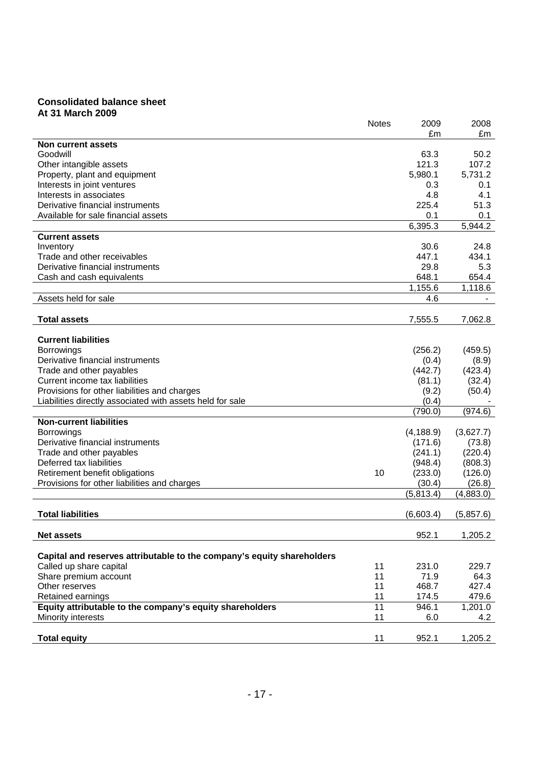#### **Consolidated balance sheet At 31 March 2009**

|                                                                                | <b>Notes</b> | 2009              | 2008               |
|--------------------------------------------------------------------------------|--------------|-------------------|--------------------|
|                                                                                |              | £m                | £m                 |
| Non current assets                                                             |              |                   |                    |
| Goodwill                                                                       |              | 63.3              | 50.2               |
| Other intangible assets                                                        |              | 121.3             | 107.2              |
| Property, plant and equipment                                                  |              | 5,980.1           | 5,731.2            |
| Interests in joint ventures                                                    |              | 0.3               | 0.1                |
| Interests in associates                                                        |              | 4.8               | 4.1                |
| Derivative financial instruments                                               |              | 225.4             | 51.3               |
| Available for sale financial assets                                            |              | 0.1               | 0.1                |
|                                                                                |              | 6,395.3           | 5,944.2            |
| <b>Current assets</b>                                                          |              |                   |                    |
| Inventory                                                                      |              | 30.6              | 24.8               |
| Trade and other receivables                                                    |              | 447.1             | 434.1              |
| Derivative financial instruments                                               |              | 29.8              | 5.3                |
| Cash and cash equivalents                                                      |              | 648.1             | 654.4              |
|                                                                                |              | 1,155.6           | 1,118.6            |
| Assets held for sale                                                           |              | 4.6               |                    |
|                                                                                |              |                   |                    |
| <b>Total assets</b>                                                            |              | 7,555.5           | 7,062.8            |
|                                                                                |              |                   |                    |
| <b>Current liabilities</b>                                                     |              |                   |                    |
| <b>Borrowings</b>                                                              |              | (256.2)           | (459.5)            |
| Derivative financial instruments                                               |              | (0.4)             | (8.9)              |
| Trade and other payables                                                       |              | (442.7)           | (423.4)            |
| Current income tax liabilities                                                 |              | (81.1)            | (32.4)             |
| Provisions for other liabilities and charges                                   |              | (9.2)             | (50.4)             |
| Liabilities directly associated with assets held for sale                      |              | (0.4)             |                    |
|                                                                                |              | (790.0)           | (974.6)            |
| <b>Non-current liabilities</b>                                                 |              |                   |                    |
| <b>Borrowings</b>                                                              |              | (4, 188.9)        | (3,627.7)          |
| Derivative financial instruments                                               |              | (171.6)           | (73.8)             |
|                                                                                |              | (241.1)           | (220.4)            |
| Trade and other payables<br>Deferred tax liabilities                           |              |                   |                    |
|                                                                                | 10           | (948.4)           | (808.3)<br>(126.0) |
| Retirement benefit obligations<br>Provisions for other liabilities and charges |              | (233.0)<br>(30.4) | (26.8)             |
|                                                                                |              |                   |                    |
|                                                                                |              | (5,813.4)         | (4,883.0)          |
|                                                                                |              |                   |                    |
| <b>Total liabilities</b>                                                       |              | (6,603.4)         | (5,857.6)          |
|                                                                                |              | 952.1             |                    |
| <b>Net assets</b>                                                              |              |                   | 1,205.2            |
| Capital and reserves attributable to the company's equity shareholders         |              |                   |                    |
|                                                                                |              |                   |                    |
| Called up share capital                                                        | 11<br>11     | 231.0<br>71.9     | 229.7<br>64.3      |
| Share premium account                                                          |              |                   |                    |
| Other reserves                                                                 | 11           | 468.7             | 427.4              |
| Retained earnings                                                              | 11           | 174.5             | 479.6              |
| Equity attributable to the company's equity shareholders                       | 11           | 946.1             | 1,201.0            |
| Minority interests                                                             | 11           | 6.0               | 4.2                |
| <b>Total equity</b>                                                            | 11           | 952.1             | 1,205.2            |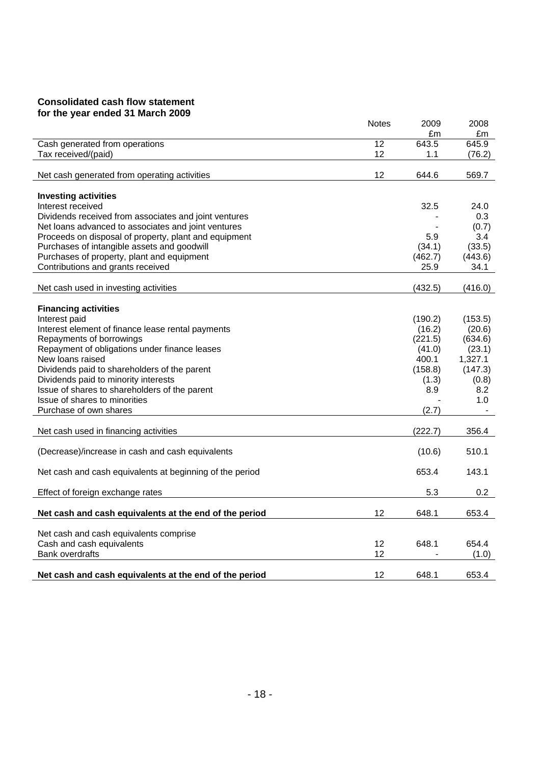#### **Consolidated cash flow statement for the year ended 31 March 2009**

|                                                          | <b>Notes</b> | 2009    | 2008    |
|----------------------------------------------------------|--------------|---------|---------|
|                                                          |              | £m      | £m      |
| Cash generated from operations                           | 12           | 643.5   | 645.9   |
| Tax received/(paid)                                      | 12           | 1.1     | (76.2)  |
|                                                          |              |         |         |
| Net cash generated from operating activities             | 12           | 644.6   | 569.7   |
|                                                          |              |         |         |
| <b>Investing activities</b>                              |              |         |         |
| Interest received                                        |              | 32.5    | 24.0    |
| Dividends received from associates and joint ventures    |              |         | 0.3     |
| Net loans advanced to associates and joint ventures      |              |         | (0.7)   |
| Proceeds on disposal of property, plant and equipment    |              | 5.9     | 3.4     |
| Purchases of intangible assets and goodwill              |              | (34.1)  | (33.5)  |
| Purchases of property, plant and equipment               |              | (462.7) | (443.6) |
| Contributions and grants received                        |              | 25.9    | 34.1    |
|                                                          |              |         |         |
| Net cash used in investing activities                    |              | (432.5) | (416.0) |
|                                                          |              |         |         |
| <b>Financing activities</b>                              |              |         |         |
| Interest paid                                            |              | (190.2) | (153.5) |
| Interest element of finance lease rental payments        |              | (16.2)  | (20.6)  |
| Repayments of borrowings                                 |              | (221.5) | (634.6) |
| Repayment of obligations under finance leases            |              | (41.0)  | (23.1)  |
| New loans raised                                         |              | 400.1   | 1,327.1 |
| Dividends paid to shareholders of the parent             |              | (158.8) | (147.3) |
| Dividends paid to minority interests                     |              | (1.3)   | (0.8)   |
| Issue of shares to shareholders of the parent            |              | 8.9     | 8.2     |
| Issue of shares to minorities                            |              |         | 1.0     |
| Purchase of own shares                                   |              | (2.7)   |         |
|                                                          |              |         |         |
| Net cash used in financing activities                    |              | (222.7) | 356.4   |
|                                                          |              |         |         |
| (Decrease)/increase in cash and cash equivalents         |              | (10.6)  | 510.1   |
|                                                          |              |         |         |
| Net cash and cash equivalents at beginning of the period |              | 653.4   | 143.1   |
|                                                          |              |         |         |
| Effect of foreign exchange rates                         |              | 5.3     | 0.2     |
|                                                          |              |         |         |
| Net cash and cash equivalents at the end of the period   | 12           | 648.1   | 653.4   |
|                                                          |              |         |         |
| Net cash and cash equivalents comprise                   |              |         |         |
| Cash and cash equivalents                                | 12           | 648.1   | 654.4   |
| <b>Bank overdrafts</b>                                   | 12           |         | (1.0)   |
|                                                          |              |         |         |
| Net cash and cash equivalents at the end of the period   | 12           | 648.1   | 653.4   |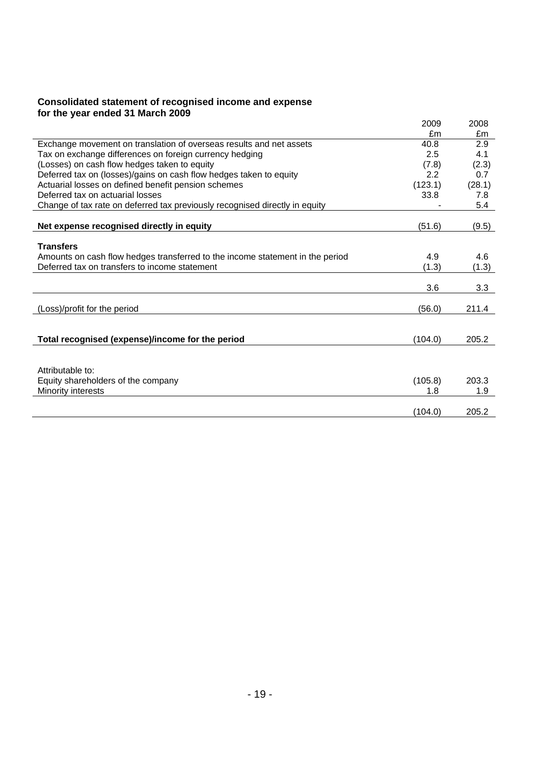#### **Consolidated statement of recognised income and expense for the year ended 31 March 2009**

|                                                                               | 2009    | 2008   |
|-------------------------------------------------------------------------------|---------|--------|
|                                                                               | £m      | £m     |
| Exchange movement on translation of overseas results and net assets           | 40.8    | 2.9    |
| Tax on exchange differences on foreign currency hedging                       | 2.5     | 4.1    |
| (Losses) on cash flow hedges taken to equity                                  | (7.8)   | (2.3)  |
| Deferred tax on (losses)/gains on cash flow hedges taken to equity            | 2.2     | 0.7    |
| Actuarial losses on defined benefit pension schemes                           | (123.1) | (28.1) |
| Deferred tax on actuarial losses                                              | 33.8    | 7.8    |
| Change of tax rate on deferred tax previously recognised directly in equity   |         | 5.4    |
|                                                                               |         |        |
| Net expense recognised directly in equity                                     | (51.6)  | (9.5)  |
|                                                                               |         |        |
| <b>Transfers</b>                                                              |         |        |
| Amounts on cash flow hedges transferred to the income statement in the period | 4.9     | 4.6    |
| Deferred tax on transfers to income statement                                 | (1.3)   | (1.3)  |
|                                                                               |         |        |
|                                                                               | 3.6     | 3.3    |
|                                                                               |         |        |
| (Loss)/profit for the period                                                  | (56.0)  | 211.4  |
|                                                                               |         |        |
|                                                                               |         |        |
| Total recognised (expense)/income for the period                              | (104.0) | 205.2  |
|                                                                               |         |        |
|                                                                               |         |        |
| Attributable to:                                                              |         |        |
| Equity shareholders of the company                                            | (105.8) | 203.3  |
| Minority interests                                                            | 1.8     | 1.9    |
|                                                                               |         |        |
|                                                                               | (104.0) | 205.2  |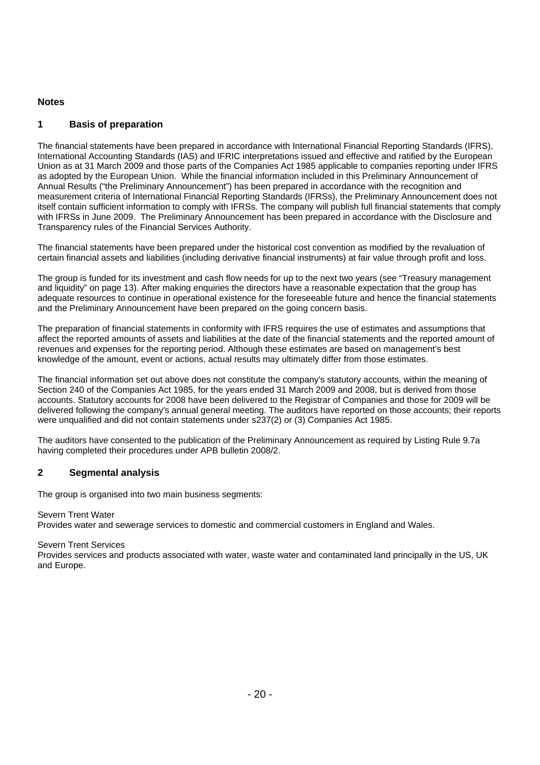#### **Notes**

### **1 Basis of preparation**

The financial statements have been prepared in accordance with International Financial Reporting Standards (IFRS), International Accounting Standards (IAS) and IFRIC interpretations issued and effective and ratified by the European Union as at 31 March 2009 and those parts of the Companies Act 1985 applicable to companies reporting under IFRS as adopted by the European Union. While the financial information included in this Preliminary Announcement of Annual Results ("the Preliminary Announcement") has been prepared in accordance with the recognition and measurement criteria of International Financial Reporting Standards (IFRSs), the Preliminary Announcement does not itself contain sufficient information to comply with IFRSs. The company will publish full financial statements that comply with IFRSs in June 2009. The Preliminary Announcement has been prepared in accordance with the Disclosure and Transparency rules of the Financial Services Authority.

The financial statements have been prepared under the historical cost convention as modified by the revaluation of certain financial assets and liabilities (including derivative financial instruments) at fair value through profit and loss.

The group is funded for its investment and cash flow needs for up to the next two years (see "Treasury management and liquidity" on page 13). After making enquiries the directors have a reasonable expectation that the group has adequate resources to continue in operational existence for the foreseeable future and hence the financial statements and the Preliminary Announcement have been prepared on the going concern basis.

The preparation of financial statements in conformity with IFRS requires the use of estimates and assumptions that affect the reported amounts of assets and liabilities at the date of the financial statements and the reported amount of revenues and expenses for the reporting period. Although these estimates are based on management's best knowledge of the amount, event or actions, actual results may ultimately differ from those estimates.

The financial information set out above does not constitute the company's statutory accounts, within the meaning of Section 240 of the Companies Act 1985, for the years ended 31 March 2009 and 2008, but is derived from those accounts. Statutory accounts for 2008 have been delivered to the Registrar of Companies and those for 2009 will be delivered following the company's annual general meeting. The auditors have reported on those accounts; their reports were unqualified and did not contain statements under s237(2) or (3) Companies Act 1985.

The auditors have consented to the publication of the Preliminary Announcement as required by Listing Rule 9.7a having completed their procedures under APB bulletin 2008/2.

#### **2 Segmental analysis**

The group is organised into two main business segments:

#### Severn Trent Water

Provides water and sewerage services to domestic and commercial customers in England and Wales.

#### Severn Trent Services

Provides services and products associated with water, waste water and contaminated land principally in the US, UK and Europe.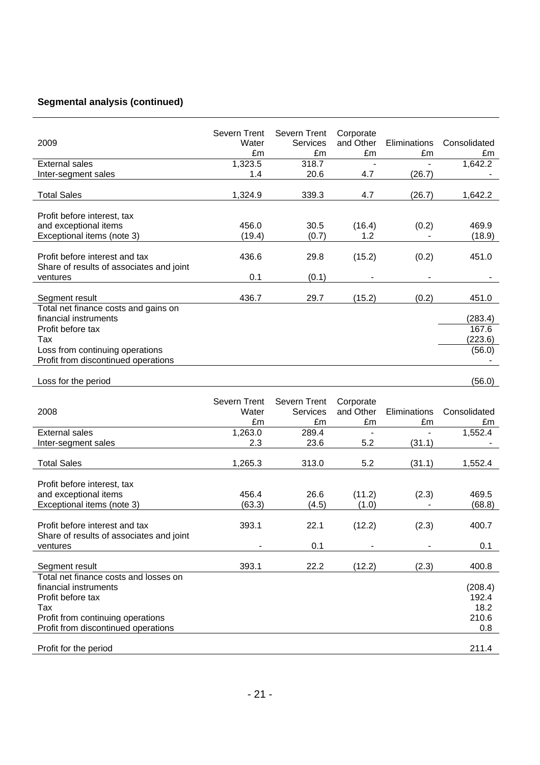# **Segmental analysis (continued)**

| 2009                                                    | Severn Trent<br>Water | Severn Trent<br>Services | Corporate<br>and Other | Eliminations | Consolidated |
|---------------------------------------------------------|-----------------------|--------------------------|------------------------|--------------|--------------|
|                                                         | £m                    | £m                       | £m                     | £m           | £m           |
| <b>External sales</b>                                   | 1,323.5               | 318.7                    |                        |              | 1,642.2      |
| Inter-segment sales                                     | 1.4                   | 20.6                     | 4.7                    | (26.7)       |              |
| <b>Total Sales</b>                                      | 1,324.9               | 339.3                    | 4.7                    | (26.7)       | 1,642.2      |
| Profit before interest, tax                             |                       |                          |                        |              |              |
| and exceptional items                                   | 456.0                 | 30.5                     | (16.4)                 | (0.2)        | 469.9        |
| Exceptional items (note 3)                              | (19.4)                | (0.7)                    | 1.2                    |              | (18.9)       |
|                                                         |                       |                          |                        |              |              |
| Profit before interest and tax                          | 436.6                 | 29.8                     | (15.2)                 | (0.2)        | 451.0        |
| Share of results of associates and joint                |                       |                          |                        |              |              |
| ventures                                                | 0.1                   | (0.1)                    |                        |              |              |
|                                                         |                       |                          |                        |              |              |
| Segment result                                          | 436.7                 | 29.7                     | (15.2)                 | (0.2)        | 451.0        |
| Total net finance costs and gains on                    |                       |                          |                        |              |              |
| financial instruments                                   |                       |                          |                        |              | (283.4)      |
| Profit before tax                                       |                       |                          |                        |              | 167.6        |
| Tax                                                     |                       |                          |                        |              | (223.6)      |
| Loss from continuing operations                         |                       |                          |                        |              | (56.0)       |
| Profit from discontinued operations                     |                       |                          |                        |              |              |
|                                                         |                       |                          |                        |              |              |
| Loss for the period                                     |                       |                          |                        |              | (56.0)       |
|                                                         |                       |                          |                        |              |              |
|                                                         |                       |                          |                        |              |              |
|                                                         | Severn Trent          | Severn Trent             | Corporate              |              |              |
| 2008                                                    | Water                 | Services                 | and Other              | Eliminations | Consolidated |
|                                                         | £m                    | £m                       | £m                     | £m           | £m           |
| <b>External sales</b>                                   | 1,263.0               | 289.4                    | $\overline{a}$         |              | 1,552.4      |
| Inter-segment sales                                     | 2.3                   | 23.6                     | 5.2                    | (31.1)       |              |
|                                                         |                       |                          |                        |              |              |
| <b>Total Sales</b>                                      | 1,265.3               | 313.0                    | 5.2                    | (31.1)       | 1,552.4      |
|                                                         |                       |                          |                        |              |              |
| Profit before interest, tax                             |                       |                          |                        |              |              |
| and exceptional items                                   | 456.4                 | 26.6                     | (11.2)                 | (2.3)        | 469.5        |
| Exceptional items (note 3)                              | (63.3)                | (4.5)                    | (1.0)                  |              | (68.8)       |
|                                                         |                       |                          |                        |              |              |
| Profit before interest and tax                          | 393.1                 | 22.1                     | (12.2)                 | (2.3)        | 400.7        |
| Share of results of associates and joint                | -                     |                          |                        |              |              |
| ventures                                                |                       | 0.1                      |                        |              | 0.1          |
|                                                         |                       |                          |                        |              |              |
| Segment result<br>Total net finance costs and losses on | 393.1                 | 22.2                     | (12.2)                 | (2.3)        | 400.8        |
| financial instruments                                   |                       |                          |                        |              | (208.4)      |
| Profit before tax                                       |                       |                          |                        |              | 192.4        |
| Tax                                                     |                       |                          |                        |              | 18.2         |
| Profit from continuing operations                       |                       |                          |                        |              | 210.6        |
| Profit from discontinued operations                     |                       |                          |                        |              | 0.8          |
| Profit for the period                                   |                       |                          |                        |              | 211.4        |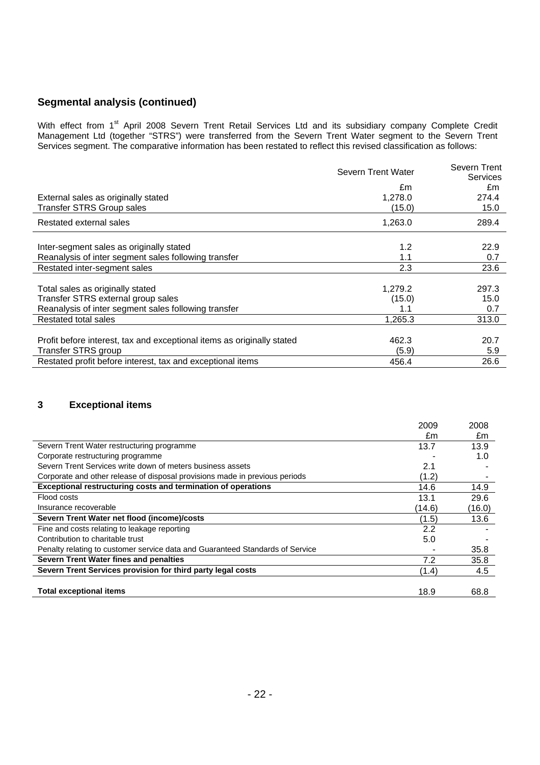# **Segmental analysis (continued)**

With effect from 1<sup>st</sup> April 2008 Severn Trent Retail Services Ltd and its subsidiary company Complete Credit Management Ltd (together "STRS") were transferred from the Severn Trent Water segment to the Severn Trent Services segment. The comparative information has been restated to reflect this revised classification as follows:

|                                                                        | Severn Trent Water | Severn Trent          |
|------------------------------------------------------------------------|--------------------|-----------------------|
|                                                                        | £m                 | <b>Services</b><br>£m |
| External sales as originally stated                                    | 1,278.0            | 274.4                 |
| <b>Transfer STRS Group sales</b>                                       | (15.0)             | 15.0                  |
|                                                                        |                    |                       |
| Restated external sales                                                | 1,263.0            | 289.4                 |
|                                                                        |                    |                       |
| Inter-segment sales as originally stated                               | 1.2                | 22.9                  |
| Reanalysis of inter segment sales following transfer                   | 1.1                | 0.7                   |
| Restated inter-segment sales                                           | 2.3                | 23.6                  |
|                                                                        |                    |                       |
| Total sales as originally stated                                       | 1,279.2            | 297.3                 |
| Transfer STRS external group sales                                     | (15.0)             | 15.0                  |
| Reanalysis of inter segment sales following transfer                   | 1.1                | 0.7                   |
| <b>Restated total sales</b>                                            | 1,265.3            | 313.0                 |
|                                                                        |                    |                       |
| Profit before interest, tax and exceptional items as originally stated | 462.3              | 20.7                  |
| Transfer STRS group                                                    | (5.9)              | 5.9                   |
| Restated profit before interest, tax and exceptional items             | 456.4              | 26.6                  |

# **3 Exceptional items**

|                                                                               | 2009   | 2008   |
|-------------------------------------------------------------------------------|--------|--------|
|                                                                               | £m     | £m     |
| Severn Trent Water restructuring programme                                    | 13.7   | 13.9   |
| Corporate restructuring programme                                             |        | 1.0    |
| Severn Trent Services write down of meters business assets                    | 2.1    |        |
| Corporate and other release of disposal provisions made in previous periods   | (1.2)  |        |
| Exceptional restructuring costs and termination of operations                 | 14.6   | 14.9   |
| Flood costs                                                                   | 13.1   | 29.6   |
| Insurance recoverable                                                         | (14.6) | (16.0) |
| Severn Trent Water net flood (income)/costs                                   | (1.5)  | 13.6   |
| Fine and costs relating to leakage reporting                                  | 2.2    |        |
| Contribution to charitable trust                                              | 5.0    |        |
| Penalty relating to customer service data and Guaranteed Standards of Service |        | 35.8   |
| Severn Trent Water fines and penalties                                        | 7.2    | 35.8   |
| Severn Trent Services provision for third party legal costs                   | (1.4)  | 4.5    |
|                                                                               |        |        |
| <b>Total exceptional items</b>                                                | 18.9   | 68.8   |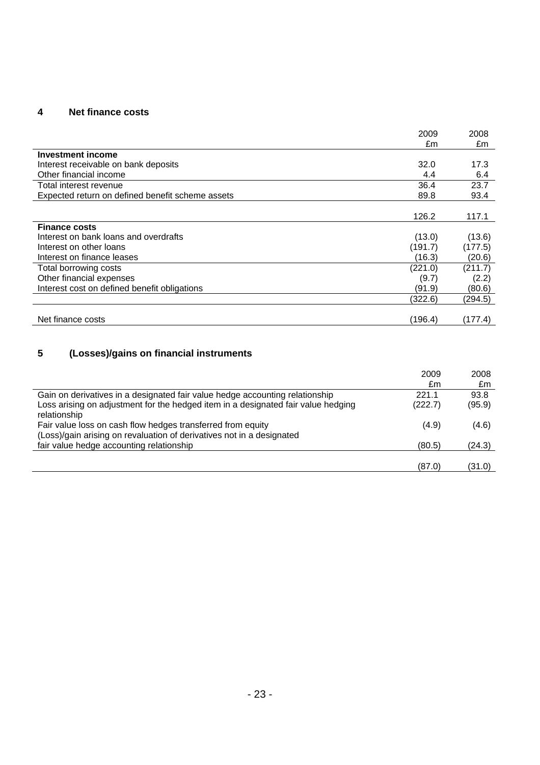# **4 Net finance costs**

|                                                  | 2009<br>£m | 2008<br>£m |
|--------------------------------------------------|------------|------------|
| <b>Investment income</b>                         |            |            |
| Interest receivable on bank deposits             | 32.0       | 17.3       |
| Other financial income                           | 4.4        | 6.4        |
| Total interest revenue                           | 36.4       | 23.7       |
| Expected return on defined benefit scheme assets | 89.8       | 93.4       |
|                                                  |            |            |
|                                                  | 126.2      | 117.1      |
| <b>Finance costs</b>                             |            |            |
| Interest on bank loans and overdrafts            | (13.0)     | (13.6)     |
| Interest on other loans                          | (191.7)    | (177.5)    |
| Interest on finance leases                       | (16.3)     | (20.6)     |
| Total borrowing costs                            | (221.0)    | (211.7)    |
| Other financial expenses                         | (9.7)      | (2.2)      |
| Interest cost on defined benefit obligations     | (91.9)     | (80.6)     |
|                                                  | (322.6)    | (294.5)    |
|                                                  |            |            |
| Net finance costs                                | (196.4)    | (177.4)    |

# **5 (Losses)/gains on financial instruments**

|                                                                                                                                      | 2009    | 2008   |
|--------------------------------------------------------------------------------------------------------------------------------------|---------|--------|
|                                                                                                                                      | £m      | £m     |
| Gain on derivatives in a designated fair value hedge accounting relationship                                                         | 221.1   | 93.8   |
| Loss arising on adjustment for the hedged item in a designated fair value hedging<br>relationship                                    | (222.7) | (95.9) |
| Fair value loss on cash flow hedges transferred from equity<br>(Loss)/gain arising on revaluation of derivatives not in a designated | (4.9)   | (4.6)  |
| fair value hedge accounting relationship                                                                                             | (80.5)  | (24.3) |
|                                                                                                                                      |         |        |
|                                                                                                                                      | (87.0)  | (31.0) |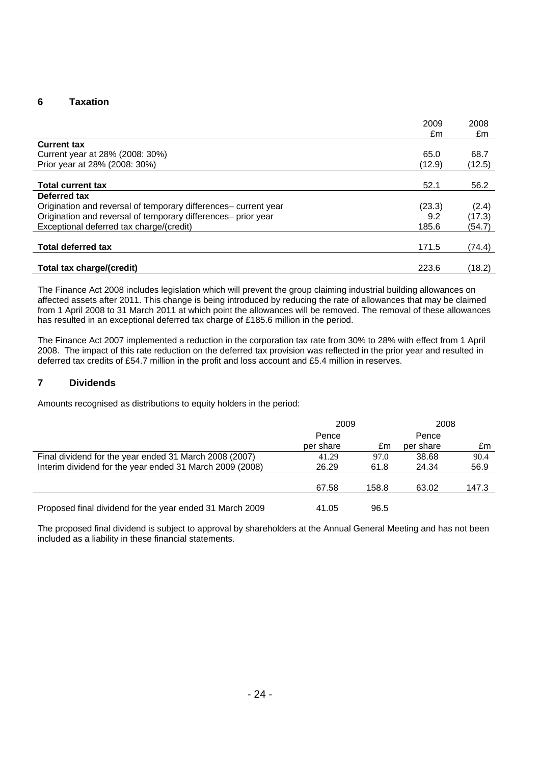#### **6 Taxation**

|                                                                 | 2009   | 2008   |
|-----------------------------------------------------------------|--------|--------|
|                                                                 | £m     | £m     |
| <b>Current tax</b>                                              |        |        |
| Current year at 28% (2008: 30%)                                 | 65.0   | 68.7   |
| Prior year at 28% (2008: 30%)                                   | (12.9) | (12.5) |
|                                                                 |        |        |
| <b>Total current tax</b>                                        | 52.1   | 56.2   |
| Deferred tax                                                    |        |        |
| Origination and reversal of temporary differences- current year | (23.3) | (2.4)  |
| Origination and reversal of temporary differences- prior year   | 9.2    | (17.3) |
| Exceptional deferred tax charge/(credit)                        | 185.6  | (54.7) |
|                                                                 |        |        |
| <b>Total deferred tax</b>                                       | 171.5  | (74.4) |
|                                                                 |        |        |
| Total tax charge/(credit)                                       | 223.6  | (18.2) |

The Finance Act 2008 includes legislation which will prevent the group claiming industrial building allowances on affected assets after 2011. This change is being introduced by reducing the rate of allowances that may be claimed from 1 April 2008 to 31 March 2011 at which point the allowances will be removed. The removal of these allowances has resulted in an exceptional deferred tax charge of £185.6 million in the period.

The Finance Act 2007 implemented a reduction in the corporation tax rate from 30% to 28% with effect from 1 April 2008. The impact of this rate reduction on the deferred tax provision was reflected in the prior year and resulted in deferred tax credits of £54.7 million in the profit and loss account and £5.4 million in reserves.

#### **7 Dividends**

Amounts recognised as distributions to equity holders in the period:

|                                                          | 2009               |       | 2008               |       |
|----------------------------------------------------------|--------------------|-------|--------------------|-------|
|                                                          | Pence<br>per share | £m    | Pence<br>per share | £m    |
| Final dividend for the year ended 31 March 2008 (2007)   | 41.29              | 97.0  | 38.68              | 90.4  |
| Interim dividend for the year ended 31 March 2009 (2008) | 26.29              | 61.8  | 24.34              | 56.9  |
|                                                          | 67.58              | 158.8 | 63.02              | 147.3 |
| Proposed final dividend for the year ended 31 March 2009 | 41.05              | 96.5  |                    |       |

The proposed final dividend is subject to approval by shareholders at the Annual General Meeting and has not been included as a liability in these financial statements.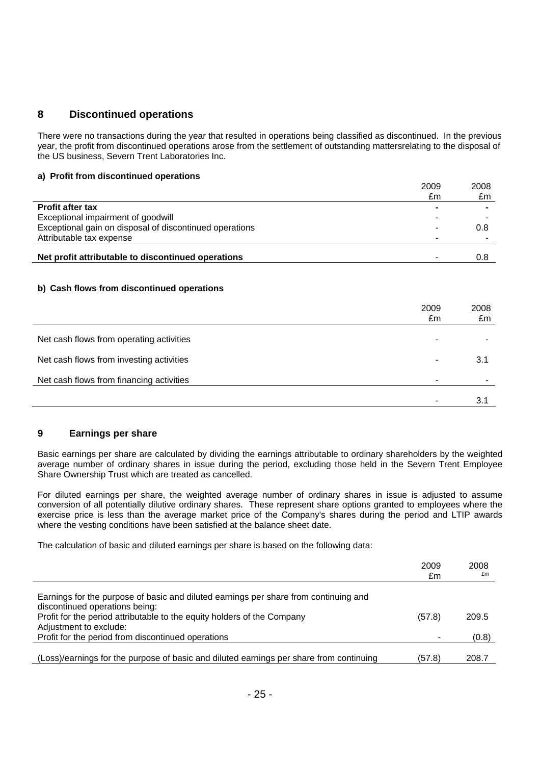# **8 Discontinued operations**

There were no transactions during the year that resulted in operations being classified as discontinued. In the previous year, the profit from discontinued operations arose from the settlement of outstanding mattersrelating to the disposal of the US business, Severn Trent Laboratories Inc.

#### **a) Profit from discontinued operations**

|                                                         | 2009<br>£m | 2008<br>£m |
|---------------------------------------------------------|------------|------------|
| <b>Profit after tax</b>                                 |            |            |
| Exceptional impairment of goodwill                      |            |            |
| Exceptional gain on disposal of discontinued operations |            | 0.8        |
| Attributable tax expense                                |            |            |
| Net profit attributable to discontinued operations      |            | 0.8        |

#### **b) Cash flows from discontinued operations**

|                                          | 2009<br>£m | 2008<br>£m |
|------------------------------------------|------------|------------|
| Net cash flows from operating activities |            |            |
| Net cash flows from investing activities |            | 3.1        |
| Net cash flows from financing activities |            |            |
|                                          |            | 3.1        |

#### **9 Earnings per share**

Basic earnings per share are calculated by dividing the earnings attributable to ordinary shareholders by the weighted average number of ordinary shares in issue during the period, excluding those held in the Severn Trent Employee Share Ownership Trust which are treated as cancelled.

For diluted earnings per share, the weighted average number of ordinary shares in issue is adjusted to assume conversion of all potentially dilutive ordinary shares. These represent share options granted to employees where the exercise price is less than the average market price of the Company's shares during the period and LTIP awards where the vesting conditions have been satisfied at the balance sheet date.

The calculation of basic and diluted earnings per share is based on the following data:

|                                                                                         | 2009   | 2008  |
|-----------------------------------------------------------------------------------------|--------|-------|
|                                                                                         | £m     | £m    |
|                                                                                         |        |       |
| Earnings for the purpose of basic and diluted earnings per share from continuing and    |        |       |
| discontinued operations being:                                                          |        |       |
| Profit for the period attributable to the equity holders of the Company                 | (57.8) | 209.5 |
| Adjustment to exclude:                                                                  |        |       |
| Profit for the period from discontinued operations                                      |        | (0.8) |
|                                                                                         |        |       |
| (Loss)/earnings for the purpose of basic and diluted earnings per share from continuing | (57.8) | 208.7 |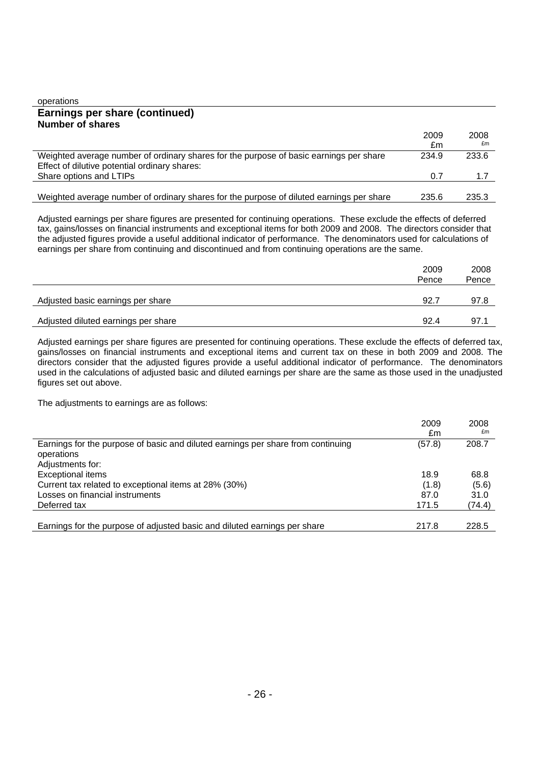| operations                                                                               |       |       |
|------------------------------------------------------------------------------------------|-------|-------|
| Earnings per share (continued)                                                           |       |       |
| <b>Number of shares</b>                                                                  |       |       |
|                                                                                          | 2009  | 2008  |
|                                                                                          | £m    | £m    |
| Weighted average number of ordinary shares for the purpose of basic earnings per share   | 234.9 | 233.6 |
| Effect of dilutive potential ordinary shares:                                            |       |       |
| Share options and LTIPs                                                                  | 0.7   | 1.7   |
|                                                                                          |       |       |
| Weighted average number of ordinary shares for the purpose of diluted earnings per share | 235.6 | 235.3 |

Adjusted earnings per share figures are presented for continuing operations. These exclude the effects of deferred tax, gains/losses on financial instruments and exceptional items for both 2009 and 2008. The directors consider that the adjusted figures provide a useful additional indicator of performance. The denominators used for calculations of earnings per share from continuing and discontinued and from continuing operations are the same.

|                                     | 2009<br>Pence | 2008<br>Pence |
|-------------------------------------|---------------|---------------|
| Adjusted basic earnings per share   | 92.7          | 97.8          |
| Adjusted diluted earnings per share | 92.4          | 97.1          |

Adjusted earnings per share figures are presented for continuing operations. These exclude the effects of deferred tax, gains/losses on financial instruments and exceptional items and current tax on these in both 2009 and 2008. The directors consider that the adjusted figures provide a useful additional indicator of performance. The denominators used in the calculations of adjusted basic and diluted earnings per share are the same as those used in the unadjusted figures set out above.

The adjustments to earnings are as follows:

|                                                                                  | 2009   | 2008   |
|----------------------------------------------------------------------------------|--------|--------|
|                                                                                  | £m     | £m     |
| Earnings for the purpose of basic and diluted earnings per share from continuing | (57.8) | 208.7  |
| operations                                                                       |        |        |
| Adjustments for:                                                                 |        |        |
| <b>Exceptional items</b>                                                         | 18.9   | 68.8   |
| Current tax related to exceptional items at 28% (30%)                            | (1.8)  | (5.6)  |
| Losses on financial instruments                                                  | 87.0   | 31.0   |
| Deferred tax                                                                     | 171.5  | (74.4) |
|                                                                                  |        |        |
| Earnings for the purpose of adjusted basic and diluted earnings per share        | 217.8  | 228.5  |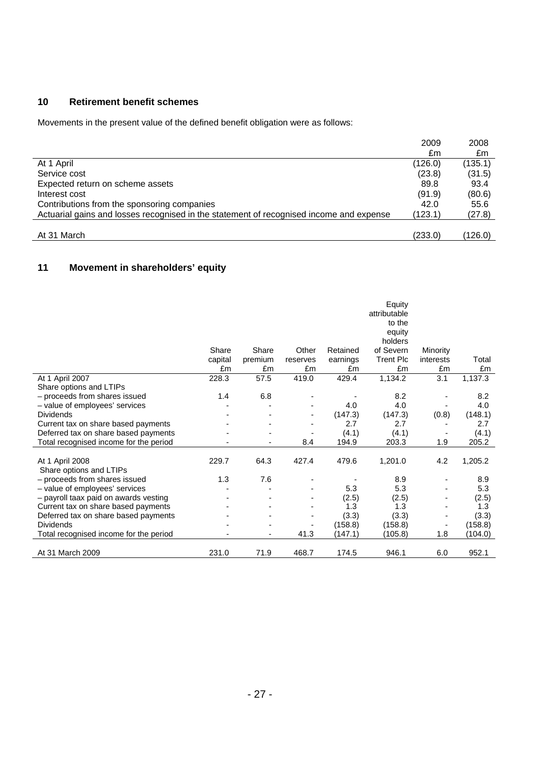# **10 Retirement benefit schemes**

Movements in the present value of the defined benefit obligation were as follows:

|                                                                                         | 2009    | 2008    |
|-----------------------------------------------------------------------------------------|---------|---------|
|                                                                                         | £m      | £m      |
| At 1 April                                                                              | (126.0) | (135.1) |
| Service cost                                                                            | (23.8)  | (31.5)  |
| Expected return on scheme assets                                                        | 89.8    | 93.4    |
| Interest cost                                                                           | (91.9)  | (80.6)  |
| Contributions from the sponsoring companies                                             | 42.0    | 55.6    |
| Actuarial gains and losses recognised in the statement of recognised income and expense | (123.1) | (27.8)  |
|                                                                                         |         |         |
| At 31 March                                                                             | (233.0) | (126.0) |

# **11 Movement in shareholders' equity**

|                                            | Share<br>capital<br>£m | Share<br>premium<br>£m | Other<br>reserves<br>£m | Retained<br>earnings<br>£m | Equity<br>attributable<br>to the<br>equity<br>holders<br>of Severn<br><b>Trent Plc</b><br>£m | Minority<br>interests<br>£m | Total<br>£m |
|--------------------------------------------|------------------------|------------------------|-------------------------|----------------------------|----------------------------------------------------------------------------------------------|-----------------------------|-------------|
| At 1 April 2007                            | 228.3                  | 57.5                   | 419.0                   | 429.4                      | 1,134.2                                                                                      | 3.1                         | 1,137.3     |
| Share options and LTIPs                    |                        |                        |                         |                            |                                                                                              |                             |             |
| - proceeds from shares issued              | 1.4                    | 6.8                    |                         |                            | 8.2                                                                                          |                             | 8.2         |
| - value of employees' services             |                        |                        |                         | 4.0                        | 4.0                                                                                          |                             | 4.0         |
| <b>Dividends</b>                           |                        |                        |                         | (147.3)                    | (147.3)                                                                                      | (0.8)                       | (148.1)     |
| Current tax on share based payments        |                        |                        |                         | 2.7                        | 2.7                                                                                          |                             | 2.7         |
| Deferred tax on share based payments       |                        |                        |                         | (4.1)                      | (4.1)                                                                                        |                             | (4.1)       |
| Total recognised income for the period     |                        |                        | 8.4                     | 194.9                      | 203.3                                                                                        | 1.9                         | 205.2       |
| At 1 April 2008<br>Share options and LTIPs | 229.7                  | 64.3                   | 427.4                   | 479.6                      | 1,201.0                                                                                      | 4.2                         | 1,205.2     |
| - proceeds from shares issued              | 1.3                    | 7.6                    |                         |                            | 8.9                                                                                          |                             | 8.9         |
| - value of employees' services             |                        |                        |                         | 5.3                        | 5.3                                                                                          |                             | 5.3         |
| - payroll taax paid on awards vesting      |                        |                        |                         | (2.5)                      | (2.5)                                                                                        |                             | (2.5)       |
| Current tax on share based payments        |                        |                        |                         | 1.3                        | 1.3                                                                                          |                             | 1.3         |
| Deferred tax on share based payments       |                        |                        |                         | (3.3)                      | (3.3)                                                                                        |                             | (3.3)       |
| <b>Dividends</b>                           |                        |                        |                         | (158.8)                    | (158.8)                                                                                      |                             | (158.8)     |
| Total recognised income for the period     |                        | ٠                      | 41.3                    | (147.1)                    | (105.8)                                                                                      | 1.8                         | (104.0)     |
| At 31 March 2009                           | 231.0                  | 71.9                   | 468.7                   | 174.5                      | 946.1                                                                                        | 6.0                         | 952.1       |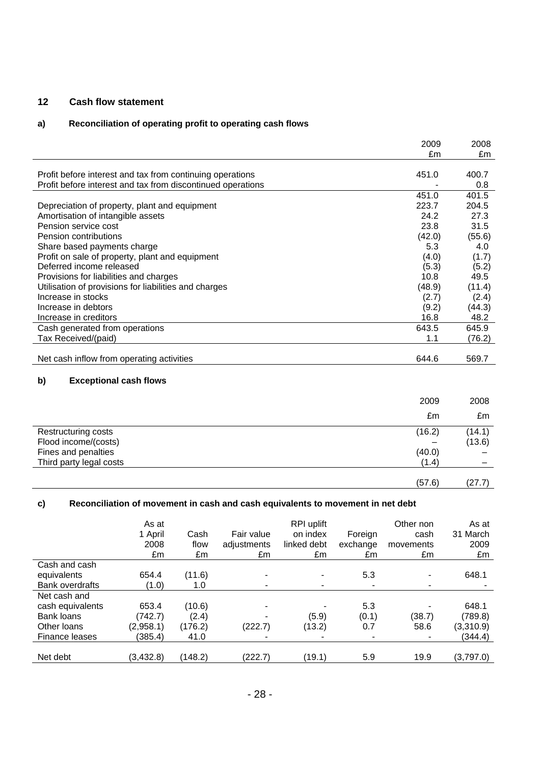### **12 Cash flow statement**

# **a) Reconciliation of operating profit to operating cash flows**

|                                                                                | 2009          | 2008         |
|--------------------------------------------------------------------------------|---------------|--------------|
|                                                                                | £m            | £m           |
|                                                                                |               |              |
| Profit before interest and tax from continuing operations                      | 451.0         | 400.7        |
| Profit before interest and tax from discontinued operations                    | 451.0         | 0.8<br>401.5 |
|                                                                                | 223.7         | 204.5        |
| Depreciation of property, plant and equipment                                  | 24.2          | 27.3         |
| Amortisation of intangible assets<br>Pension service cost                      | 23.8          | 31.5         |
| Pension contributions                                                          | (42.0)        | (55.6)       |
|                                                                                | 5.3           | 4.0          |
| Share based payments charge<br>Profit on sale of property, plant and equipment | (4.0)         | (1.7)        |
| Deferred income released                                                       |               |              |
|                                                                                | (5.3)<br>10.8 | (5.2)        |
| Provisions for liabilities and charges                                         |               | 49.5         |
| Utilisation of provisions for liabilities and charges<br>Increase in stocks    | (48.9)        | (11.4)       |
| Increase in debtors                                                            | (2.7)         | (2.4)        |
|                                                                                | (9.2)         | (44.3)       |
| Increase in creditors                                                          | 16.8          | 48.2         |
| Cash generated from operations                                                 | 643.5         | 645.9        |
| Tax Received/(paid)                                                            | 1.1           | (76.2)       |
| Net cash inflow from operating activities                                      | 644.6         | 569.7        |
|                                                                                |               |              |
| b)<br><b>Exceptional cash flows</b>                                            |               |              |
|                                                                                | 2009          | 2008         |
|                                                                                |               |              |
|                                                                                | £m            | £m           |
| <b>Restructuring costs</b>                                                     | (16.2)        | (14.1)       |
| Flood income/(costs)                                                           |               | (13.6)       |
| Fines and penalties                                                            | (40.0)        |              |
| Third party legal costs                                                        | (1.4)         |              |
|                                                                                | (57.6)        | (27.7)       |

#### **c) Reconciliation of movement in cash and cash equivalents to movement in net debt**

|                        | As at<br>1 April<br>2008<br>£m | Cash<br>flow<br>£m | Fair value<br>adjustments<br>£m | RPI uplift<br>on index<br>linked debt<br>£m | Foreign<br>exchange<br>£m | Other non<br>cash<br>movements<br>£m | As at<br>31 March<br>2009<br>£m |
|------------------------|--------------------------------|--------------------|---------------------------------|---------------------------------------------|---------------------------|--------------------------------------|---------------------------------|
| Cash and cash          |                                |                    |                                 |                                             |                           |                                      |                                 |
| equivalents            | 654.4                          | (11.6)             |                                 |                                             | 5.3                       | $\blacksquare$                       | 648.1                           |
| <b>Bank overdrafts</b> | (1.0)                          | 1.0                |                                 |                                             |                           | $\blacksquare$                       |                                 |
| Net cash and           |                                |                    |                                 |                                             |                           |                                      |                                 |
| cash equivalents       | 653.4                          | (10.6)             |                                 |                                             | 5.3                       |                                      | 648.1                           |
| Bank loans             | (742.7)                        | (2.4)              |                                 | (5.9)                                       | (0.1)                     | (38.7)                               | (789.8)                         |
| Other loans            | (2,958.1)                      | (176.2)            | (222.7)                         | (13.2)                                      | 0.7                       | 58.6                                 | (3,310.9)                       |
| Finance leases         | (385.4)                        | 41.0               |                                 |                                             |                           |                                      | (344.4)                         |
| Net debt               | (3,432.8)                      | (148.2)            | (222.7)                         | (19.1)                                      | 5.9                       | 19.9                                 | (3,797.0)                       |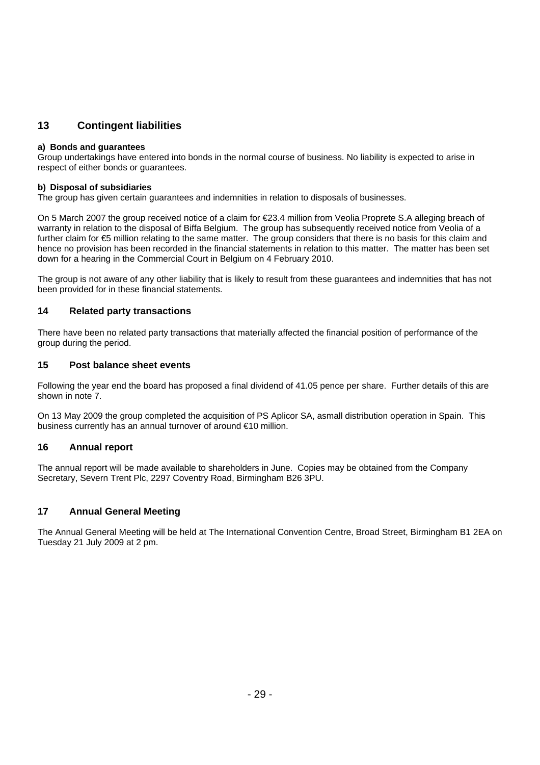# **13 Contingent liabilities**

#### **a) Bonds and guarantees**

Group undertakings have entered into bonds in the normal course of business. No liability is expected to arise in respect of either bonds or guarantees.

#### **b) Disposal of subsidiaries**

The group has given certain guarantees and indemnities in relation to disposals of businesses.

On 5 March 2007 the group received notice of a claim for €23.4 million from Veolia Proprete S.A alleging breach of warranty in relation to the disposal of Biffa Belgium. The group has subsequently received notice from Veolia of a further claim for €5 million relating to the same matter. The group considers that there is no basis for this claim and hence no provision has been recorded in the financial statements in relation to this matter. The matter has been set down for a hearing in the Commercial Court in Belgium on 4 February 2010.

The group is not aware of any other liability that is likely to result from these guarantees and indemnities that has not been provided for in these financial statements.

#### **14 Related party transactions**

There have been no related party transactions that materially affected the financial position of performance of the group during the period.

#### **15 Post balance sheet events**

Following the year end the board has proposed a final dividend of 41.05 pence per share. Further details of this are shown in note 7.

On 13 May 2009 the group completed the acquisition of PS Aplicor SA, asmall distribution operation in Spain. This business currently has an annual turnover of around €10 million.

#### **16 Annual report**

The annual report will be made available to shareholders in June. Copies may be obtained from the Company Secretary, Severn Trent Plc, 2297 Coventry Road, Birmingham B26 3PU.

#### **17 Annual General Meeting**

The Annual General Meeting will be held at The International Convention Centre, Broad Street, Birmingham B1 2EA on Tuesday 21 July 2009 at 2 pm.